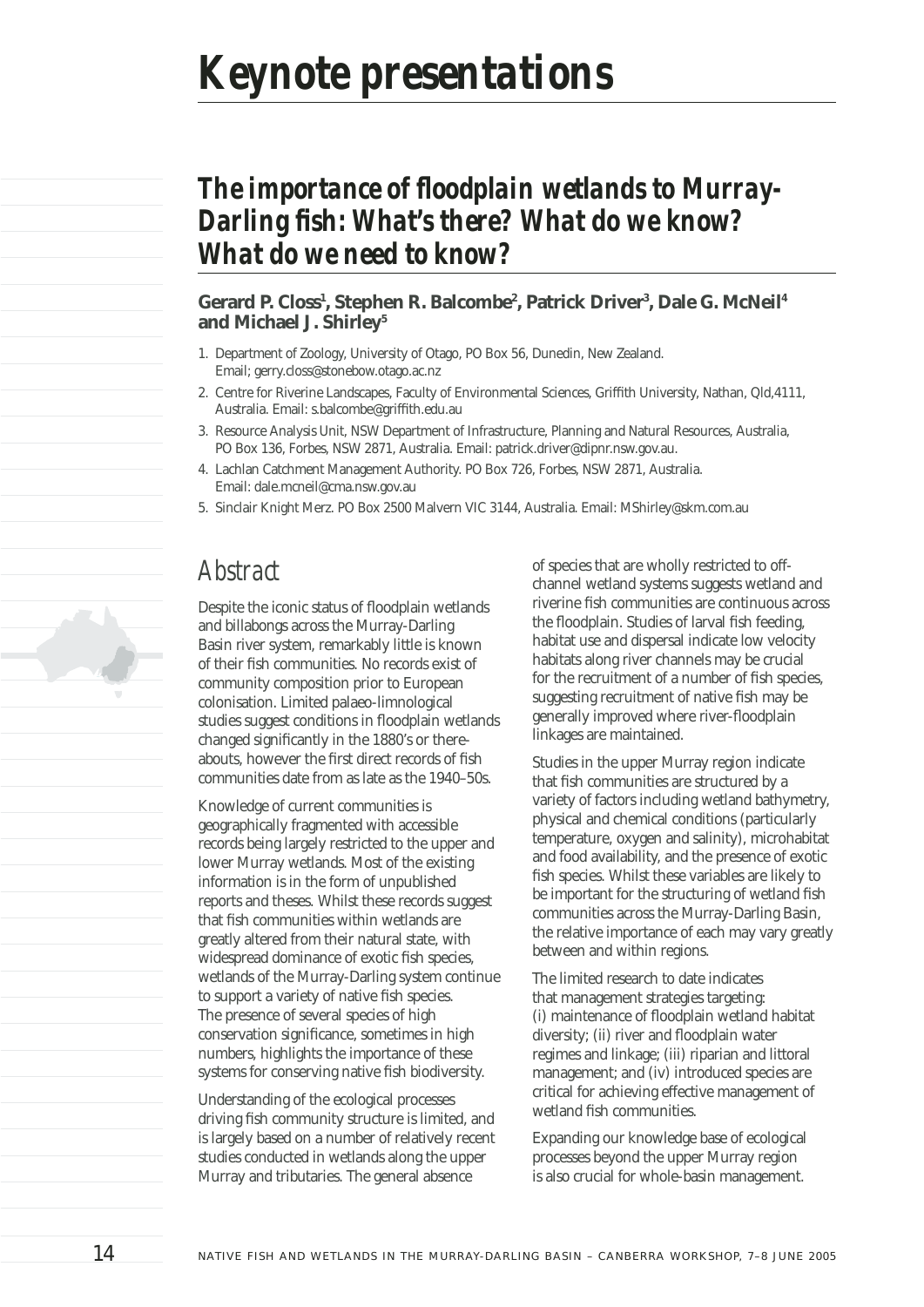# **The importance of floodplain wetlands to Murray-Darling fish: What's there? What do we know?** *What do we need to know?*

#### **Gerard P. Closs1 , Stephen R. Balcombe2 , Patrick Driver3 , Dale G. McNeil4 and Michael J. Shirley5**

- 1. Department of Zoology, University of Otago, PO Box 56, Dunedin, New Zealand. Email; gerry.closs@stonebow.otago.ac.nz
- 2. Centre for Riverine Landscapes, Faculty of Environmental Sciences, Griffith University, Nathan, Qld,4111, Australia. Email: s.balcombe@griffith.edu.au
- 3. Resource Analysis Unit, NSW Department of Infrastructure, Planning and Natural Resources, Australia, PO Box 136, Forbes, NSW 2871, Australia. Email: patrick.driver@dipnr.nsw.gov.au.
- 4. Lachlan Catchment Management Authority. PO Box 726, Forbes, NSW 2871, Australia. Email: dale.mcneil@cma.nsw.gov.au
- 5. Sinclair Knight Merz. PO Box 2500 Malvern VIC 3144, Australia. Email: MShirley@skm.com.au

### *Abstract*

Despite the iconic status of floodplain wetlands and billabongs across the Murray-Darling Basin river system, remarkably little is known of their fish communities. No records exist of community composition prior to European colonisation. Limited palaeo-limnological studies suggest conditions in floodplain wetlands changed significantly in the 1880's or thereabouts, however the first direct records of fish communities date from as late as the 1940–50s.

Knowledge of current communities is geographically fragmented with accessible records being largely restricted to the upper and lower Murray wetlands. Most of the existing information is in the form of unpublished reports and theses. Whilst these records suggest that fish communities within wetlands are greatly altered from their natural state, with widespread dominance of exotic fish species, wetlands of the Murray-Darling system continue to support a variety of native fish species. The presence of several species of high conservation significance, sometimes in high numbers, highlights the importance of these systems for conserving native fish biodiversity.

Understanding of the ecological processes driving fish community structure is limited, and is largely based on a number of relatively recent studies conducted in wetlands along the upper Murray and tributaries. The general absence

of species that are wholly restricted to offchannel wetland systems suggests wetland and riverine fish communities are continuous across the floodplain. Studies of larval fish feeding, habitat use and dispersal indicate low velocity habitats along river channels may be crucial for the recruitment of a number of fish species, suggesting recruitment of native fish may be generally improved where river-floodplain linkages are maintained.

Studies in the upper Murray region indicate that fish communities are structured by a variety of factors including wetland bathymetry, physical and chemical conditions (particularly temperature, oxygen and salinity), microhabitat and food availability, and the presence of exotic fish species. Whilst these variables are likely to be important for the structuring of wetland fish communities across the Murray-Darling Basin, the relative importance of each may vary greatly between and within regions.

The limited research to date indicates that management strategies targeting: (i) maintenance of floodplain wetland habitat diversity; (ii) river and floodplain water regimes and linkage; (iii) riparian and littoral management; and (iv) introduced species are critical for achieving effective management of wetland fish communities.

Expanding our knowledge base of ecological processes beyond the upper Murray region is also crucial for whole-basin management.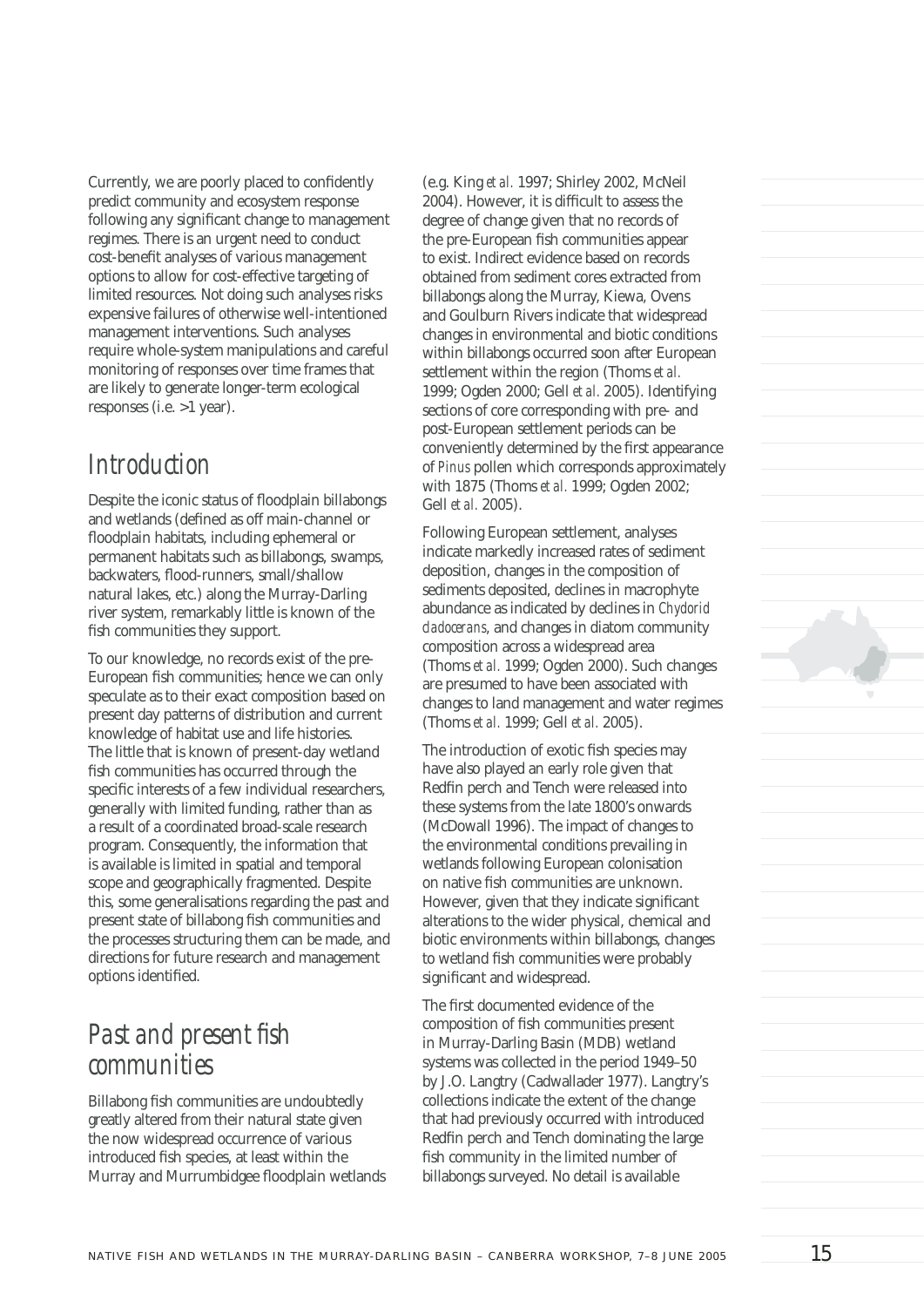Currently, we are poorly placed to confidently predict community and ecosystem response following any significant change to management regimes. There is an urgent need to conduct cost-benefit analyses of various management options to allow for cost-effective targeting of limited resources. Not doing such analyses risks expensive failures of otherwise well-intentioned management interventions. Such analyses require whole-system manipulations and careful monitoring of responses over time frames that are likely to generate longer-term ecological responses (i.e. >1 year).

### *Introduction*

Despite the iconic status of floodplain billabongs and wetlands (defined as off main-channel or floodplain habitats, including ephemeral or permanent habitats such as billabongs, swamps, backwaters, flood-runners, small/shallow natural lakes, etc.) along the Murray-Darling river system, remarkably little is known of the fish communities they support.

To our knowledge, no records exist of the pre-European fish communities; hence we can only speculate as to their exact composition based on present day patterns of distribution and current knowledge of habitat use and life histories. The little that is known of present-day wetland fish communities has occurred through the specific interests of a few individual researchers, generally with limited funding, rather than as a result of a coordinated broad-scale research program. Consequently, the information that is available is limited in spatial and temporal scope and geographically fragmented. Despite this, some generalisations regarding the past and present state of billabong fish communities and the processes structuring them can be made, and directions for future research and management options identified.

## **Past and present fish** *communities*

Billabong fish communities are undoubtedly greatly altered from their natural state given the now widespread occurrence of various introduced fish species, at least within the Murray and Murrumbidgee floodplain wetlands (e.g. King *et al.* 1997; Shirley 2002, McNeil 2004). However, it is difficult to assess the degree of change given that no records of the pre-European fish communities appear to exist. Indirect evidence based on records obtained from sediment cores extracted from billabongs along the Murray, Kiewa, Ovens and Goulburn Rivers indicate that widespread changes in environmental and biotic conditions within billabongs occurred soon after European settlement within the region (Thoms *et al.* 1999; Ogden 2000; Gell *et al.* 2005). Identifying sections of core corresponding with pre- and post-European settlement periods can be conveniently determined by the first appearance of *Pinus* pollen which corresponds approximately with 1875 (Thoms *et al.* 1999; Ogden 2002; Gell *et al.* 2005).

Following European settlement, analyses indicate markedly increased rates of sediment deposition, changes in the composition of sediments deposited, declines in macrophyte abundance as indicated by declines in *Chydorid cladocerans*, and changes in diatom community composition across a widespread area (Thoms *et al.* 1999; Ogden 2000). Such changes are presumed to have been associated with changes to land management and water regimes (Thoms *et al.* 1999; Gell *et al.* 2005).

The introduction of exotic fish species may have also played an early role given that Redfin perch and Tench were released into these systems from the late 1800's onwards (McDowall 1996). The impact of changes to the environmental conditions prevailing in wetlands following European colonisation on native fish communities are unknown. However, given that they indicate significant alterations to the wider physical, chemical and biotic environments within billabongs, changes to wetland fish communities were probably significant and widespread.

The first documented evidence of the composition of fish communities present in Murray-Darling Basin (MDB) wetland systems was collected in the period 1949–50 by J.O. Langtry (Cadwallader 1977). Langtry's collections indicate the extent of the change that had previously occurred with introduced Redfin perch and Tench dominating the large fish community in the limited number of billabongs surveyed. No detail is available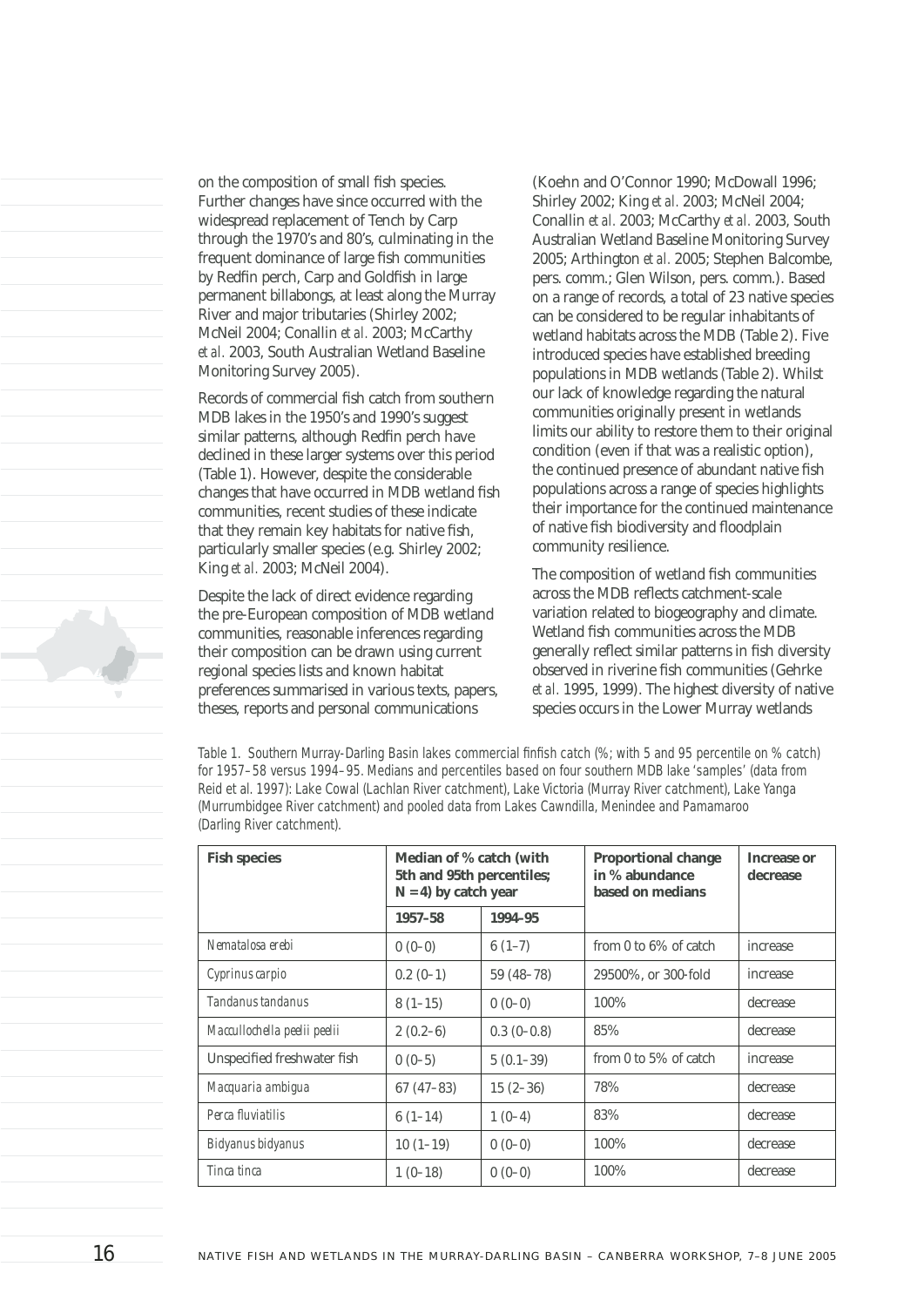on the composition of small fish species. Further changes have since occurred with the widespread replacement of Tench by Carp through the 1970's and 80's, culminating in the frequent dominance of large fish communities by Redfin perch, Carp and Goldfish in large permanent billabongs, at least along the Murray River and major tributaries (Shirley 2002; McNeil 2004; Conallin *et al.* 2003; McCarthy *et al.* 2003, South Australian Wetland Baseline Monitoring Survey 2005).

Records of commercial fish catch from southern MDB lakes in the 1950's and 1990's suggest similar patterns, although Redfin perch have declined in these larger systems over this period (Table 1). However, despite the considerable changes that have occurred in MDB wetland fish communities, recent studies of these indicate that they remain key habitats for native fish, particularly smaller species (e.g. Shirley 2002; King *et al.* 2003; McNeil 2004).

Despite the lack of direct evidence regarding the pre-European composition of MDB wetland communities, reasonable inferences regarding their composition can be drawn using current regional species lists and known habitat preferences summarised in various texts, papers, theses, reports and personal communications

(Koehn and O'Connor 1990; McDowall 1996; Shirley 2002; King *et al.* 2003; McNeil 2004; Conallin *et al.* 2003; McCarthy *et al.* 2003, South Australian Wetland Baseline Monitoring Survey 2005; Arthington *et al.* 2005; Stephen Balcombe, pers. comm.; Glen Wilson, pers. comm.). Based on a range of records, a total of 23 native species can be considered to be regular inhabitants of wetland habitats across the MDB (Table 2). Five introduced species have established breeding populations in MDB wetlands (Table 2). Whilst our lack of knowledge regarding the natural communities originally present in wetlands limits our ability to restore them to their original condition (even if that was a realistic option), the continued presence of abundant native fish populations across a range of species highlights their importance for the continued maintenance of native fish biodiversity and floodplain community resilience.

The composition of wetland fish communities across the MDB reflects catchment-scale variation related to biogeography and climate. Wetland fish communities across the MDB generally reflect similar patterns in fish diversity observed in riverine fish communities (Gehrke *et al.* 1995, 1999). The highest diversity of native species occurs in the Lower Murray wetlands

Table 1. Southern Murray-Darling Basin lakes commercial finfish catch (%; with 5 and 95 percentile on % catch) *for 1957–58 versus 1994–95. Medians and percentiles based on four southern MDB lake 'samples' (data from Reid et al. 1997): Lake Cowal (Lachlan River catchment), Lake Victoria (Murray River catchment), Lake Yanga (Murrumbidgee River catchment) and pooled data from Lakes Cawndilla, Menindee and Pamamaroo (Darling River catchment).*

| <b>Fish species</b>          | Median of % catch (with<br>5th and 95th percentiles;<br>$N = 4$ ) by catch year |              | <b>Proportional change</b><br>in % abundance<br>based on medians | Increase or<br>decrease |
|------------------------------|---------------------------------------------------------------------------------|--------------|------------------------------------------------------------------|-------------------------|
|                              | 1957-58                                                                         | 1994-95      |                                                                  |                         |
| Nematalosa erebi             | $0(0-0)$                                                                        | $6(1-7)$     | from 0 to $6\%$ of catch                                         | increase                |
| Cyprinus carpio              | $0.2(0-1)$                                                                      | $59(48-78)$  | 29500%, or 300-fold                                              | increase                |
| Tandanus tandanus            | $8(1-15)$                                                                       | $0(0-0)$     | 100%                                                             | decrease                |
| Maccullochella peelii peelii | $2(0.2-6)$                                                                      | $0.3(0-0.8)$ | 85%                                                              | decrease                |
| Unspecified freshwater fish  | $0(0-5)$                                                                        | $5(0.1-39)$  | from 0 to 5% of catch                                            | increase                |
| Macquaria ambigua            | $67(47-83)$                                                                     | $15(2-36)$   | 78%                                                              | decrease                |
| Perca fluviatilis            | $6(1-14)$                                                                       | $1(0-4)$     | 83%                                                              | decrease                |
| Bidyanus bidyanus            | $10(1-19)$                                                                      | $0(0-0)$     | 100%                                                             | decrease                |
| Tinca tinca                  | $1(0-18)$                                                                       | $0(0-0)$     | 100%                                                             | decrease                |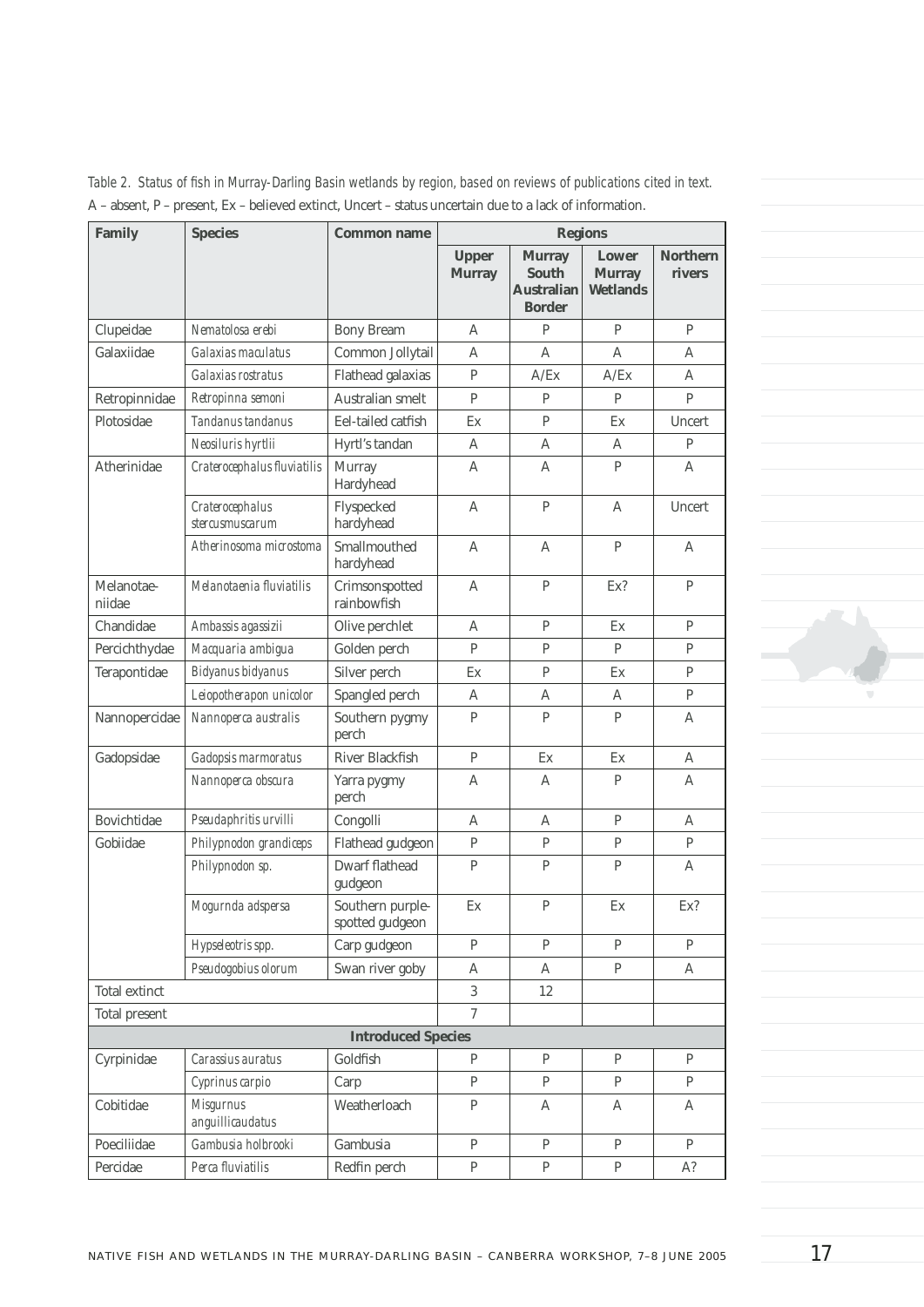| Family               | <b>Species</b>                       | <b>Common name</b>                  | <b>Regions</b>                |                                                              |                                           |                           |
|----------------------|--------------------------------------|-------------------------------------|-------------------------------|--------------------------------------------------------------|-------------------------------------------|---------------------------|
|                      |                                      |                                     | <b>Upper</b><br><b>Murray</b> | <b>Murray</b><br>South<br><b>Australian</b><br><b>Border</b> | Lower<br><b>Murray</b><br><b>Wetlands</b> | <b>Northern</b><br>rivers |
| Clupeidae            | Nematolosa erebi                     | <b>Bony Bream</b>                   | A                             | P                                                            | P                                         | P                         |
| Galaxiidae           | Galaxias maculatus                   | Common Jollytail                    | A                             | A                                                            | A                                         | A                         |
|                      | Galaxias rostratus                   | Flathead galaxias                   | P                             | A/Ex                                                         | A/Ex                                      | A                         |
| Retropinnidae        | Retropinna semoni                    | Australian smelt                    | $\mathsf{P}$                  | P                                                            | P                                         | P                         |
| Plotosidae           | Tandanus tandanus                    | Eel-tailed catfish                  | Ex                            | P                                                            | Ex                                        | Uncert                    |
|                      | Neosiluris hyrtlii                   | Hyrtl's tandan                      | A                             | A                                                            | A                                         | P                         |
| Atherinidae          | Craterocephalus fluviatilis          | Murray<br>Hardyhead                 | A                             | A                                                            | P                                         | A                         |
|                      | Craterocephalus<br>stercusmuscarum   | Flyspecked<br>hardyhead             | A                             | P                                                            | A                                         | Uncert                    |
|                      | Atherinosoma microstoma              | Smallmouthed<br>hardyhead           | $\mathsf{A}$                  | A                                                            | P                                         | A                         |
| Melanotae-<br>niidae | Melanotaenia fluviatilis             | Crimsonspotted<br>rainbowfish       | A                             | $\mathsf{P}$                                                 | Ex?                                       | P                         |
| Chandidae            | Ambassis agassizii                   | Olive perchlet                      | A                             | $\mathbf{P}$                                                 | Ex                                        | P                         |
| Percichthydae        | Macquaria ambigua                    | Golden perch                        | P                             | P                                                            | P                                         | P                         |
| Terapontidae         | Bidyanus bidyanus                    | Silver perch                        | Ex                            | $\mathbf{P}$                                                 | Ex                                        | P                         |
|                      | Leiopotherapon unicolor              | Spangled perch                      | A                             | A                                                            | A                                         | $\mathbf{P}$              |
| Nannopercidae        | Nannoperca australis                 | Southern pygmy<br>perch             | P                             | $\mathbf{P}$                                                 | P                                         | A                         |
| Gadopsidae           | Gadopsis marmoratus                  | River Blackfish                     | P                             | Ex                                                           | Ex                                        | A                         |
|                      | Nannoperca obscura                   | Yarra pygmy<br>perch                | A                             | A                                                            | P                                         | A                         |
| Bovichtidae          | Pseudaphritis urvilli                | Congolli                            | A                             | A                                                            | P                                         | A                         |
| Gobiidae             | Philypnodon grandiceps               | Flathead gudgeon                    | P                             | P                                                            | P                                         | P                         |
|                      | Philypnodon sp.                      | <b>Dwarf flathead</b><br>gudgeon    | $\mathsf{P}$                  | $\mathsf{P}$                                                 | P                                         | A                         |
|                      | Mogurnda adspersa                    | Southern purple-<br>spotted gudgeon | Ex                            | $\mathsf{P}$                                                 | Ex                                        | Ex?                       |
|                      | Hypseleotris spp.                    | Carp gudgeon                        | $\mathsf{P}$                  | P                                                            | P                                         | P                         |
|                      | Pseudogobius olorum                  | Swan river goby                     | A                             | А                                                            | P                                         | Α                         |
| Total extinct        |                                      |                                     | 3                             | 12                                                           |                                           |                           |
| Total present        |                                      |                                     | $\tau$                        |                                                              |                                           |                           |
|                      |                                      | <b>Introduced Species</b>           |                               |                                                              |                                           |                           |
| Cyrpinidae           | Carassius auratus                    | Goldfish                            | P                             | P                                                            | P                                         | P                         |
|                      | Cyprinus carpio                      | Carp                                | $\mathsf{P}$                  | P                                                            | P                                         | P                         |
| Cobitidae            | <b>Misgurnus</b><br>anguillicaudatus | Weatherloach                        | P                             | A                                                            | Α                                         | A                         |
| Poeciliidae          | Gambusia holbrooki                   | Gambusia                            | P                             | P                                                            | $\mathbf{P}$                              | $\mathbf{P}$              |
| Percidae             | Perca fluviatilis                    | Redfin perch                        | $\, {\bf P}$                  | $\, {\bf p}$                                                 | $\mathbf{P}$                              | A?                        |

Table 2. Status of fish in Murray-Darling Basin wetlands by region, based on reviews of publications cited in text. A – absent, P – present, Ex – believed extinct, Uncert – status uncertain due to a lack of information.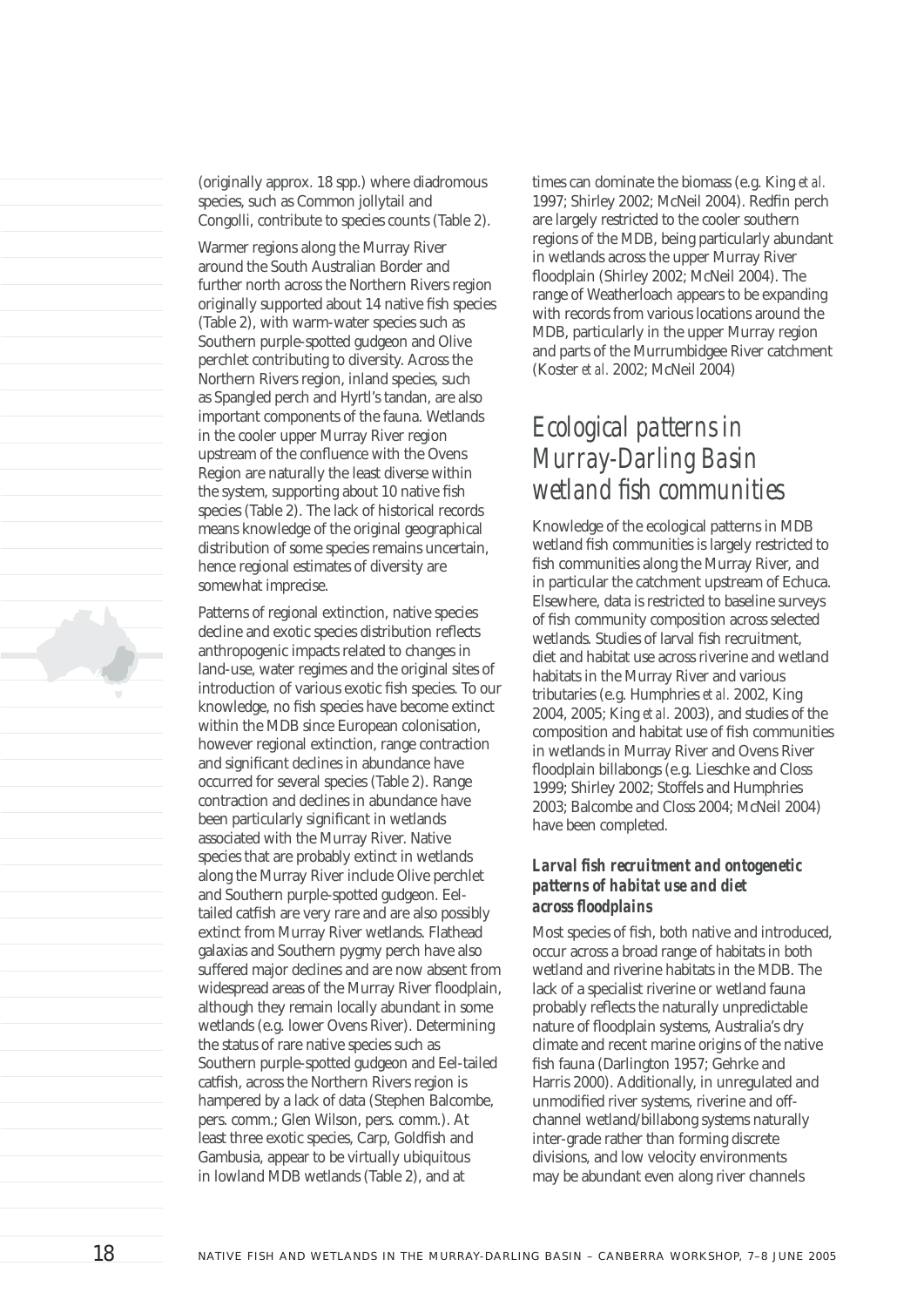(originally approx. 18 spp.) where diadromous species, such as Common jollytail and Congolli, contribute to species counts (Table 2).

Warmer regions along the Murray River around the South Australian Border and further north across the Northern Rivers region originally supported about 14 native fish species (Table 2), with warm-water species such as Southern purple-spotted gudgeon and Olive perchlet contributing to diversity. Across the Northern Rivers region, inland species, such as Spangled perch and Hyrtl's tandan, are also important components of the fauna. Wetlands in the cooler upper Murray River region upstream of the confluence with the Ovens Region are naturally the least diverse within the system, supporting about 10 native fish species (Table 2). The lack of historical records means knowledge of the original geographical distribution of some species remains uncertain, hence regional estimates of diversity are somewhat imprecise.

Patterns of regional extinction, native species decline and exotic species distribution reflects anthropogenic impacts related to changes in land-use, water regimes and the original sites of introduction of various exotic fish species. To our knowledge, no fish species have become extinct within the MDB since European colonisation, however regional extinction, range contraction and significant declines in abundance have occurred for several species (Table 2). Range contraction and declines in abundance have been particularly significant in wetlands associated with the Murray River. Native species that are probably extinct in wetlands along the Murray River include Olive perchlet and Southern purple-spotted gudgeon. Eeltailed catfish are very rare and are also possibly extinct from Murray River wetlands. Flathead galaxias and Southern pygmy perch have also suffered major declines and are now absent from widespread areas of the Murray River floodplain, although they remain locally abundant in some wetlands (e.g. lower Ovens River). Determining the status of rare native species such as Southern purple-spotted gudgeon and Eel-tailed catfish, across the Northern Rivers region is hampered by a lack of data (Stephen Balcombe, pers. comm.; Glen Wilson, pers. comm.). At least three exotic species, Carp, Goldfish and Gambusia, appear to be virtually ubiquitous in lowland MDB wetlands (Table 2), and at

times can dominate the biomass (e.g. King *et al.* 1997; Shirley 2002; McNeil 2004). Redfin perch are largely restricted to the cooler southern regions of the MDB, being particularly abundant in wetlands across the upper Murray River floodplain (Shirley 2002; McNeil 2004). The range of Weatherloach appears to be expanding with records from various locations around the MDB, particularly in the upper Murray region and parts of the Murrumbidgee River catchment (Koster *et al.* 2002; McNeil 2004)

### *Ecological patterns in Murray-Darling Basin*  wetland fish communities

Knowledge of the ecological patterns in MDB wetland fish communities is largely restricted to fish communities along the Murray River, and in particular the catchment upstream of Echuca. Elsewhere, data is restricted to baseline surveys of fish community composition across selected wetlands. Studies of larval fish recruitment, diet and habitat use across riverine and wetland habitats in the Murray River and various tributaries (e.g. Humphries *et al.* 2002, King 2004, 2005; King *et al.* 2003), and studies of the composition and habitat use of fish communities in wetlands in Murray River and Ovens River floodplain billabongs (e.g. Lieschke and Closs 1999; Shirley 2002; Stoffels and Humphries 2003; Balcombe and Closs 2004; McNeil 2004) have been completed.

#### Larval fish recruitment and ontogenetic *patterns of habitat use and diet across fl oodplains*

Most species of fish, both native and introduced, occur across a broad range of habitats in both wetland and riverine habitats in the MDB. The lack of a specialist riverine or wetland fauna probably reflects the naturally unpredictable nature of floodplain systems, Australia's dry climate and recent marine origins of the native fish fauna (Darlington 1957; Gehrke and Harris 2000). Additionally, in unregulated and unmodified river systems, riverine and offchannel wetland/billabong systems naturally inter-grade rather than forming discrete divisions, and low velocity environments may be abundant even along river channels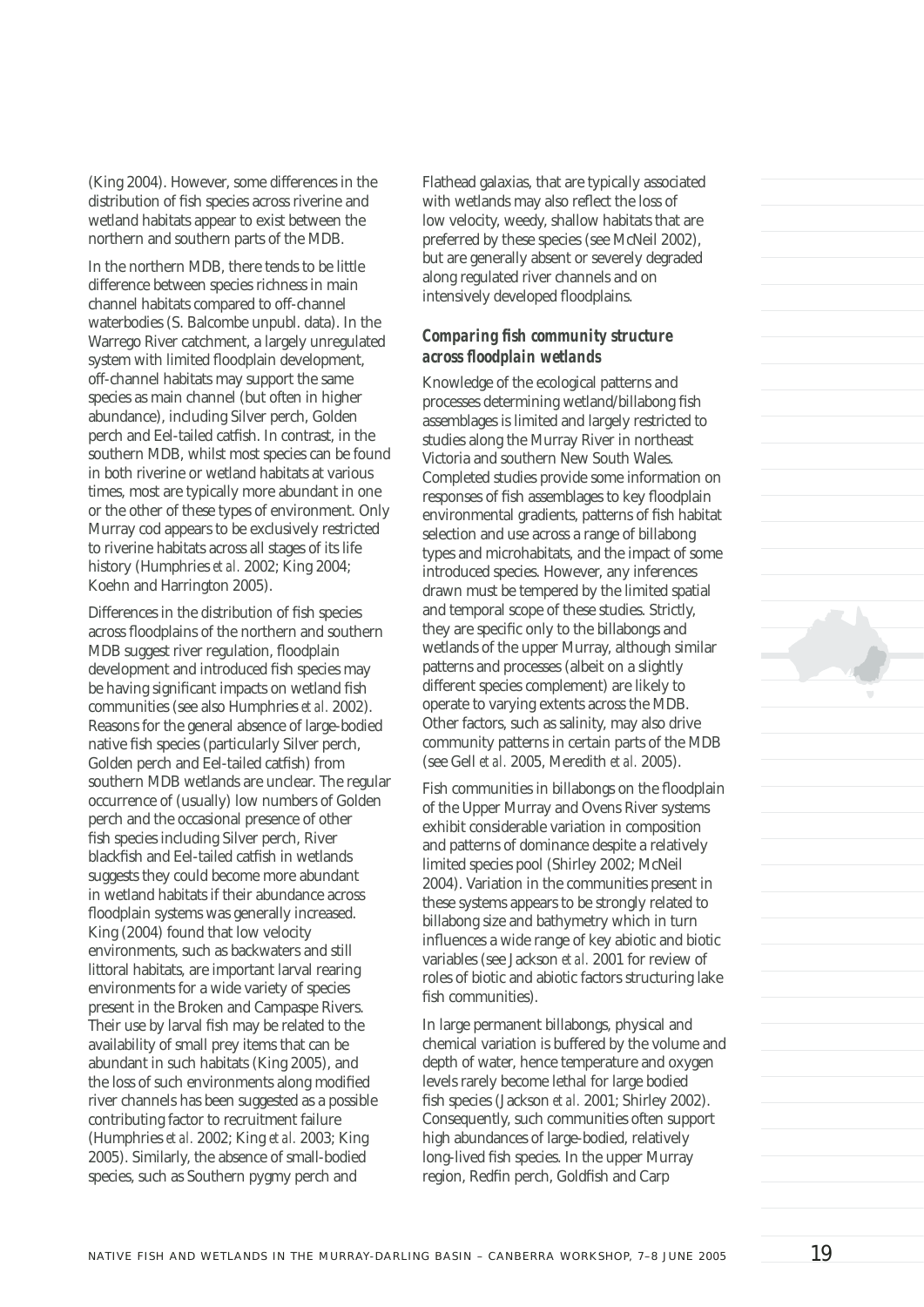(King 2004). However, some differences in the distribution of fish species across riverine and wetland habitats appear to exist between the northern and southern parts of the MDB.

In the northern MDB, there tends to be little difference between species richness in main channel habitats compared to off-channel waterbodies (S. Balcombe unpubl. data). In the Warrego River catchment, a largely unregulated system with limited floodplain development, off-channel habitats may support the same species as main channel (but often in higher abundance), including Silver perch, Golden perch and Eel-tailed catfish. In contrast, in the southern MDB, whilst most species can be found in both riverine or wetland habitats at various times, most are typically more abundant in one or the other of these types of environment. Only Murray cod appears to be exclusively restricted to riverine habitats across all stages of its life history (Humphries *et al.* 2002; King 2004; Koehn and Harrington 2005).

Differences in the distribution of fish species across floodplains of the northern and southern MDB suggest river regulation, floodplain development and introduced fish species may be having significant impacts on wetland fish communities (see also Humphries *et al.* 2002). Reasons for the general absence of large-bodied native fish species (particularly Silver perch, Golden perch and Eel-tailed catfish) from southern MDB wetlands are unclear. The regular occurrence of (usually) low numbers of Golden perch and the occasional presence of other fish species including Silver perch, River blackfish and Eel-tailed catfish in wetlands suggests they could become more abundant in wetland habitats if their abundance across floodplain systems was generally increased. King (2004) found that low velocity environments, such as backwaters and still littoral habitats, are important larval rearing environments for a wide variety of species present in the Broken and Campaspe Rivers. Their use by larval fish may be related to the availability of small prey items that can be abundant in such habitats (King 2005), and the loss of such environments along modified river channels has been suggested as a possible contributing factor to recruitment failure (Humphries *et al.* 2002; King *et al.* 2003; King 2005). Similarly, the absence of small-bodied species, such as Southern pygmy perch and

Flathead galaxias, that are typically associated with wetlands may also reflect the loss of low velocity, weedy, shallow habitats that are preferred by these species (see McNeil 2002), but are generally absent or severely degraded along regulated river channels and on intensively developed floodplains.

#### *Comparing fish community structure across fl oodplain wetlands*

Knowledge of the ecological patterns and processes determining wetland/billabong fish assemblages is limited and largely restricted to studies along the Murray River in northeast Victoria and southern New South Wales. Completed studies provide some information on responses of fish assemblages to key floodplain environmental gradients, patterns of fish habitat selection and use across a range of billabong types and microhabitats, and the impact of some introduced species. However, any inferences drawn must be tempered by the limited spatial and temporal scope of these studies. Strictly, they are specific only to the billabongs and wetlands of the upper Murray, although similar patterns and processes (albeit on a slightly different species complement) are likely to operate to varying extents across the MDB. Other factors, such as salinity, may also drive community patterns in certain parts of the MDB (see Gell *et al.* 2005, Meredith *et al.* 2005).

Fish communities in billabongs on the floodplain of the Upper Murray and Ovens River systems exhibit considerable variation in composition and patterns of dominance despite a relatively limited species pool (Shirley 2002; McNeil 2004). Variation in the communities present in these systems appears to be strongly related to billabong size and bathymetry which in turn influences a wide range of key abiotic and biotic variables (see Jackson *et al.* 2001 for review of roles of biotic and abiotic factors structuring lake fish communities).

In large permanent billabongs, physical and chemical variation is buffered by the volume and depth of water, hence temperature and oxygen levels rarely become lethal for large bodied fish species (Jackson *et al.* 2001; Shirley 2002). Consequently, such communities often support high abundances of large-bodied, relatively long-lived fish species. In the upper Murray region, Redfin perch, Goldfish and Carp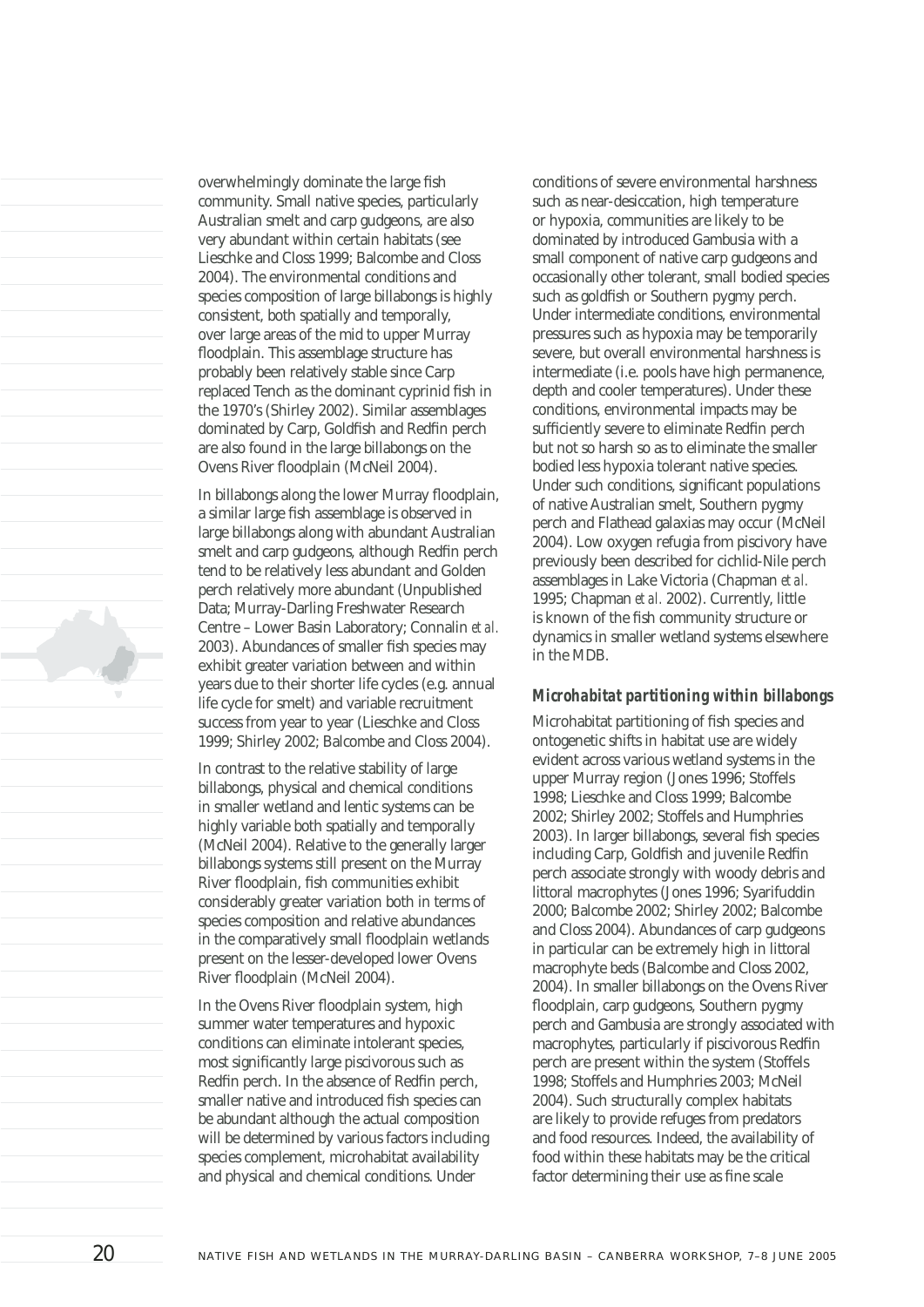overwhelmingly dominate the large fish community. Small native species, particularly Australian smelt and carp gudgeons, are also very abundant within certain habitats (see Lieschke and Closs 1999; Balcombe and Closs 2004). The environmental conditions and species composition of large billabongs is highly consistent, both spatially and temporally, over large areas of the mid to upper Murray floodplain. This assemblage structure has probably been relatively stable since Carp replaced Tench as the dominant cyprinid fish in the 1970's (Shirley 2002). Similar assemblages dominated by Carp, Goldfish and Redfin perch are also found in the large billabongs on the Ovens River floodplain (McNeil 2004).

In billabongs along the lower Murray floodplain, a similar large fish assemblage is observed in large billabongs along with abundant Australian smelt and carp gudgeons, although Redfin perch tend to be relatively less abundant and Golden perch relatively more abundant (Unpublished Data; Murray-Darling Freshwater Research Centre – Lower Basin Laboratory; Connalin *et al.* 2003). Abundances of smaller fish species may exhibit greater variation between and within years due to their shorter life cycles (e.g. annual life cycle for smelt) and variable recruitment success from year to year (Lieschke and Closs 1999; Shirley 2002; Balcombe and Closs 2004).

In contrast to the relative stability of large billabongs, physical and chemical conditions in smaller wetland and lentic systems can be highly variable both spatially and temporally (McNeil 2004). Relative to the generally larger billabongs systems still present on the Murray River floodplain, fish communities exhibit considerably greater variation both in terms of species composition and relative abundances in the comparatively small floodplain wetlands present on the lesser-developed lower Ovens River floodplain (McNeil 2004).

In the Ovens River floodplain system, high summer water temperatures and hypoxic conditions can eliminate intolerant species, most significantly large piscivorous such as Redfin perch. In the absence of Redfin perch, smaller native and introduced fish species can be abundant although the actual composition will be determined by various factors including species complement, microhabitat availability and physical and chemical conditions. Under

conditions of severe environmental harshness such as near-desiccation, high temperature or hypoxia, communities are likely to be dominated by introduced Gambusia with a small component of native carp gudgeons and occasionally other tolerant, small bodied species such as goldfish or Southern pygmy perch. Under intermediate conditions, environmental pressures such as hypoxia may be temporarily severe, but overall environmental harshness is intermediate (i.e. pools have high permanence, depth and cooler temperatures). Under these conditions, environmental impacts may be sufficiently severe to eliminate Redfin perch but not so harsh so as to eliminate the smaller bodied less hypoxia tolerant native species. Under such conditions, significant populations of native Australian smelt, Southern pygmy perch and Flathead galaxias may occur (McNeil 2004). Low oxygen refugia from piscivory have previously been described for cichlid-Nile perch assemblages in Lake Victoria (Chapman *et al.* 1995; Chapman *et al.* 2002). Currently, little is known of the fish community structure or dynamics in smaller wetland systems elsewhere in the MDB.

#### *Microhabitat partitioning within billabongs*

Microhabitat partitioning of fish species and ontogenetic shifts in habitat use are widely evident across various wetland systems in the upper Murray region (Jones 1996; Stoffels 1998; Lieschke and Closs 1999; Balcombe 2002; Shirley 2002; Stoffels and Humphries 2003). In larger billabongs, several fish species including Carp, Goldfish and juvenile Redfin perch associate strongly with woody debris and littoral macrophytes (Jones 1996; Syarifuddin 2000; Balcombe 2002; Shirley 2002; Balcombe and Closs 2004). Abundances of carp gudgeons in particular can be extremely high in littoral macrophyte beds (Balcombe and Closs 2002, 2004). In smaller billabongs on the Ovens River floodplain, carp gudgeons, Southern pygmy perch and Gambusia are strongly associated with macrophytes, particularly if piscivorous Redfin perch are present within the system (Stoffels 1998; Stoffels and Humphries 2003; McNeil 2004). Such structurally complex habitats are likely to provide refuges from predators and food resources. Indeed, the availability of food within these habitats may be the critical factor determining their use as fine scale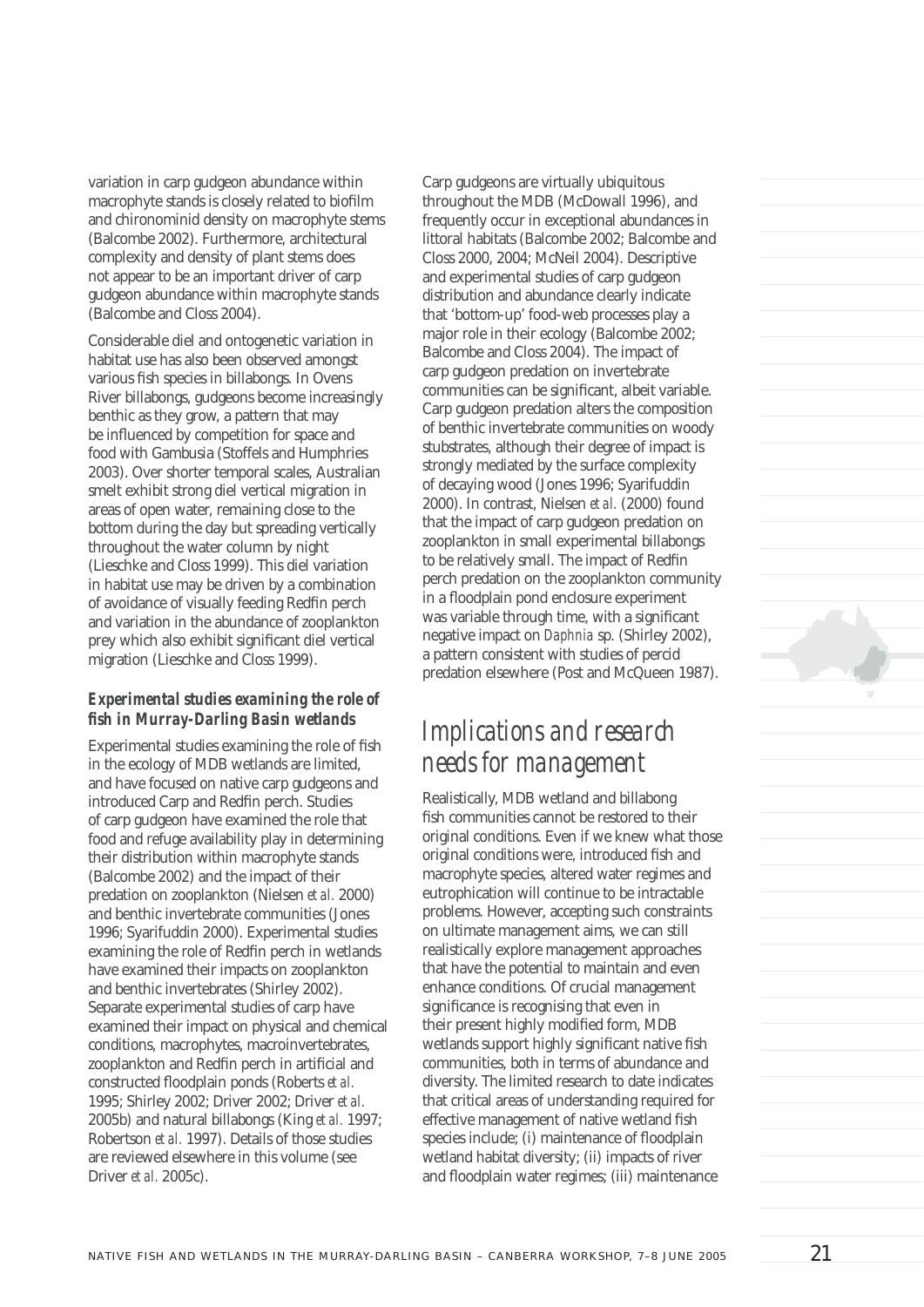variation in carp gudgeon abundance within macrophyte stands is closely related to biofilm and chironominid density on macrophyte stems (Balcombe 2002). Furthermore, architectural complexity and density of plant stems does not appear to be an important driver of carp gudgeon abundance within macrophyte stands (Balcombe and Closs 2004).

Considerable diel and ontogenetic variation in habitat use has also been observed amongst various fish species in billabongs. In Ovens River billabongs, gudgeons become increasingly benthic as they grow, a pattern that may be influenced by competition for space and food with Gambusia (Stoffels and Humphries 2003). Over shorter temporal scales, Australian smelt exhibit strong diel vertical migration in areas of open water, remaining close to the bottom during the day but spreading vertically throughout the water column by night (Lieschke and Closs 1999). This diel variation in habitat use may be driven by a combination of avoidance of visually feeding Redfin perch and variation in the abundance of zooplankton prey which also exhibit significant diel vertical migration (Lieschke and Closs 1999).

#### *Experimental studies examining the role of fi sh in Murray-Darling Basin wetlands*

Experimental studies examining the role of fish in the ecology of MDB wetlands are limited, and have focused on native carp gudgeons and introduced Carp and Redfin perch. Studies of carp gudgeon have examined the role that food and refuge availability play in determining their distribution within macrophyte stands (Balcombe 2002) and the impact of their predation on zooplankton (Nielsen *et al.* 2000) and benthic invertebrate communities (Jones 1996; Syarifuddin 2000). Experimental studies examining the role of Redfin perch in wetlands have examined their impacts on zooplankton and benthic invertebrates (Shirley 2002). Separate experimental studies of carp have examined their impact on physical and chemical conditions, macrophytes, macroinvertebrates, zooplankton and Redfin perch in artificial and constructed floodplain ponds (Roberts *et al.*) 1995; Shirley 2002; Driver 2002; Driver *et al.* 2005b) and natural billabongs (King *et al.* 1997; Robertson *et al.* 1997). Details of those studies are reviewed elsewhere in this volume (see Driver *et al.* 2005c).

Carp gudgeons are virtually ubiquitous throughout the MDB (McDowall 1996), and frequently occur in exceptional abundances in littoral habitats (Balcombe 2002; Balcombe and Closs 2000, 2004; McNeil 2004). Descriptive and experimental studies of carp gudgeon distribution and abundance clearly indicate that 'bottom-up' food-web processes play a major role in their ecology (Balcombe 2002; Balcombe and Closs 2004). The impact of carp gudgeon predation on invertebrate communities can be significant, albeit variable. Carp gudgeon predation alters the composition of benthic invertebrate communities on woody stubstrates, although their degree of impact is strongly mediated by the surface complexity of decaying wood (Jones 1996; Syarifuddin 2000). In contrast, Nielsen *et al.* (2000) found that the impact of carp gudgeon predation on zooplankton in small experimental billabongs to be relatively small. The impact of Redfin perch predation on the zooplankton community in a floodplain pond enclosure experiment was variable through time, with a significant negative impact on *Daphnia* sp. (Shirley 2002), a pattern consistent with studies of percid predation elsewhere (Post and McQueen 1987).

## *Implications and research needs for management*

Realistically, MDB wetland and billabong fish communities cannot be restored to their original conditions. Even if we knew what those original conditions were, introduced fish and macrophyte species, altered water regimes and eutrophication will continue to be intractable problems. However, accepting such constraints on ultimate management aims, we can still realistically explore management approaches that have the potential to maintain and even enhance conditions. Of crucial management significance is recognising that even in their present highly modified form, MDB wetlands support highly significant native fish communities, both in terms of abundance and diversity. The limited research to date indicates that critical areas of understanding required for effective management of native wetland fish species include; (i) maintenance of floodplain wetland habitat diversity; (ii) impacts of river and floodplain water regimes; (iii) maintenance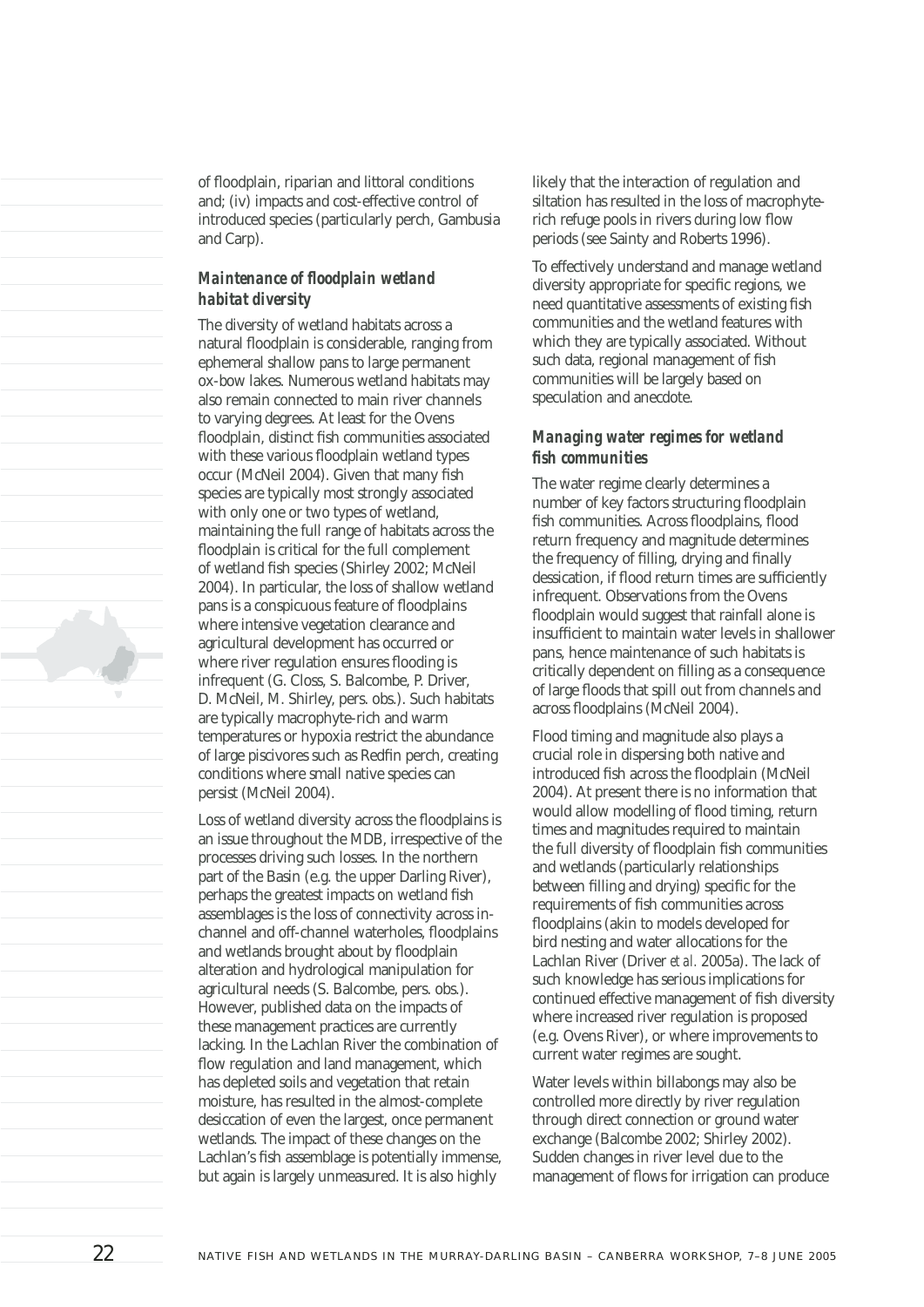of floodplain, riparian and littoral conditions and; (iv) impacts and cost-effective control of introduced species (particularly perch, Gambusia and Carp).

#### *Maintenance of floodplain wetland habitat diversity*

The diversity of wetland habitats across a natural floodplain is considerable, ranging from ephemeral shallow pans to large permanent ox-bow lakes. Numerous wetland habitats may also remain connected to main river channels to varying degrees. At least for the Ovens floodplain, distinct fish communities associated with these various floodplain wetland types occur (McNeil 2004). Given that many fish species are typically most strongly associated with only one or two types of wetland, maintaining the full range of habitats across the floodplain is critical for the full complement of wetland fish species (Shirley 2002; McNeil 2004). In particular, the loss of shallow wetland pans is a conspicuous feature of floodplains where intensive vegetation clearance and agricultural development has occurred or where river regulation ensures flooding is infrequent (G. Closs, S. Balcombe, P. Driver, D. McNeil, M. Shirley, pers. obs.). Such habitats are typically macrophyte-rich and warm temperatures or hypoxia restrict the abundance of large piscivores such as Redfin perch, creating conditions where small native species can persist (McNeil 2004).

Loss of wetland diversity across the floodplains is an issue throughout the MDB, irrespective of the processes driving such losses. In the northern part of the Basin (e.g. the upper Darling River), perhaps the greatest impacts on wetland fish assemblages is the loss of connectivity across inchannel and off-channel waterholes, floodplains and wetlands brought about by floodplain alteration and hydrological manipulation for agricultural needs (S. Balcombe, pers. obs.). However, published data on the impacts of these management practices are currently lacking. In the Lachlan River the combination of flow regulation and land management, which has depleted soils and vegetation that retain moisture, has resulted in the almost-complete desiccation of even the largest, once permanent wetlands. The impact of these changes on the Lachlan's fish assemblage is potentially immense, but again is largely unmeasured. It is also highly

likely that the interaction of regulation and siltation has resulted in the loss of macrophyterich refuge pools in rivers during low flow periods (see Sainty and Roberts 1996).

To effectively understand and manage wetland diversity appropriate for specific regions, we need quantitative assessments of existing fish communities and the wetland features with which they are typically associated. Without such data, regional management of fish communities will be largely based on speculation and anecdote.

#### *Managing water regimes for wetland fi sh communities*

The water regime clearly determines a number of key factors structuring floodplain fish communities. Across floodplains, flood return frequency and magnitude determines the frequency of filling, drying and finally dessication, if flood return times are sufficiently infrequent. Observations from the Ovens floodplain would suggest that rainfall alone is insufficient to maintain water levels in shallower pans, hence maintenance of such habitats is critically dependent on filling as a consequence of large floods that spill out from channels and across floodplains (McNeil 2004).

Flood timing and magnitude also plays a crucial role in dispersing both native and introduced fish across the floodplain (McNeil 2004). At present there is no information that would allow modelling of flood timing, return times and magnitudes required to maintain the full diversity of floodplain fish communities and wetlands (particularly relationships between filling and drying) specific for the requirements of fish communities across floodplains (akin to models developed for bird nesting and water allocations for the Lachlan River (Driver *et al.* 2005a). The lack of such knowledge has serious implications for continued effective management of fish diversity where increased river regulation is proposed (e.g. Ovens River), or where improvements to current water regimes are sought.

Water levels within billabongs may also be controlled more directly by river regulation through direct connection or ground water exchange (Balcombe 2002; Shirley 2002). Sudden changes in river level due to the management of flows for irrigation can produce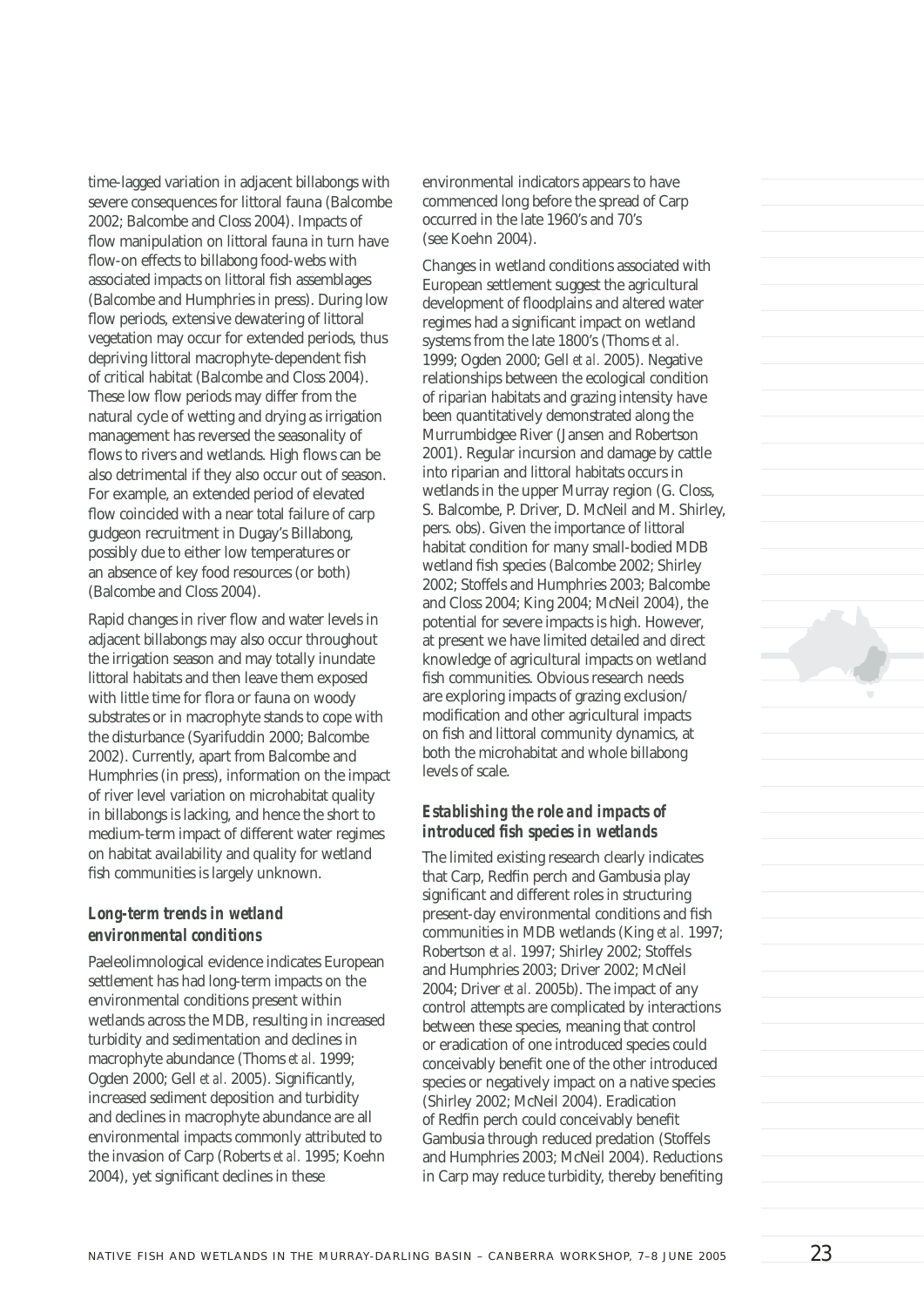time-lagged variation in adjacent billabongs with severe consequences for littoral fauna (Balcombe 2002; Balcombe and Closs 2004). Impacts of flow manipulation on littoral fauna in turn have flow-on effects to billabong food-webs with associated impacts on littoral fish assemblages (Balcombe and Humphries in press). During low flow periods, extensive dewatering of littoral vegetation may occur for extended periods, thus depriving littoral macrophyte-dependent fish of critical habitat (Balcombe and Closs 2004). These low flow periods may differ from the natural cycle of wetting and drying as irrigation management has reversed the seasonality of flows to rivers and wetlands. High flows can be also detrimental if they also occur out of season. For example, an extended period of elevated flow coincided with a near total failure of carp gudgeon recruitment in Dugay's Billabong, possibly due to either low temperatures or an absence of key food resources (or both) (Balcombe and Closs 2004).

Rapid changes in river flow and water levels in adjacent billabongs may also occur throughout the irrigation season and may totally inundate littoral habitats and then leave them exposed with little time for flora or fauna on woody substrates or in macrophyte stands to cope with the disturbance (Syarifuddin 2000; Balcombe 2002). Currently, apart from Balcombe and Humphries (in press), information on the impact of river level variation on microhabitat quality in billabongs is lacking, and hence the short to medium-term impact of different water regimes on habitat availability and quality for wetland fish communities is largely unknown.

#### *Long-term trends in wetland environmental conditions*

Paeleolimnological evidence indicates European settlement has had long-term impacts on the environmental conditions present within wetlands across the MDB, resulting in increased turbidity and sedimentation and declines in macrophyte abundance (Thoms *et al.* 1999; Ogden 2000; Gell *et al.* 2005). Significantly, increased sediment deposition and turbidity and declines in macrophyte abundance are all environmental impacts commonly attributed to the invasion of Carp (Roberts *et al.* 1995; Koehn 2004), yet significant declines in these

environmental indicators appears to have commenced long before the spread of Carp occurred in the late 1960's and 70's (see Koehn 2004).

Changes in wetland conditions associated with European settlement suggest the agricultural development of floodplains and altered water regimes had a significant impact on wetland systems from the late 1800's (Thoms *et al.* 1999; Ogden 2000; Gell *et al.* 2005). Negative relationships between the ecological condition of riparian habitats and grazing intensity have been quantitatively demonstrated along the Murrumbidgee River (Jansen and Robertson 2001). Regular incursion and damage by cattle into riparian and littoral habitats occurs in wetlands in the upper Murray region (G. Closs, S. Balcombe, P. Driver, D. McNeil and M. Shirley, pers. obs). Given the importance of littoral habitat condition for many small-bodied MDB wetland fish species (Balcombe 2002; Shirley 2002; Stoffels and Humphries 2003; Balcombe and Closs 2004; King 2004; McNeil 2004), the potential for severe impacts is high. However, at present we have limited detailed and direct knowledge of agricultural impacts on wetland fish communities. Obvious research needs are exploring impacts of grazing exclusion/ modification and other agricultural impacts on fish and littoral community dynamics, at both the microhabitat and whole billabong levels of scale.

#### *Establishing the role and impacts of introduced fish species in wetlands*

The limited existing research clearly indicates that Carp, Redfin perch and Gambusia play significant and different roles in structuring present-day environmental conditions and fish communities in MDB wetlands (King *et al.* 1997; Robertson *et al.* 1997; Shirley 2002; Stoffels and Humphries 2003; Driver 2002; McNeil 2004; Driver *et al.* 2005b). The impact of any control attempts are complicated by interactions between these species, meaning that control or eradication of one introduced species could conceivably benefit one of the other introduced species or negatively impact on a native species (Shirley 2002; McNeil 2004). Eradication of Redfin perch could conceivably benefit Gambusia through reduced predation (Stoffels and Humphries 2003; McNeil 2004). Reductions in Carp may reduce turbidity, thereby benefiting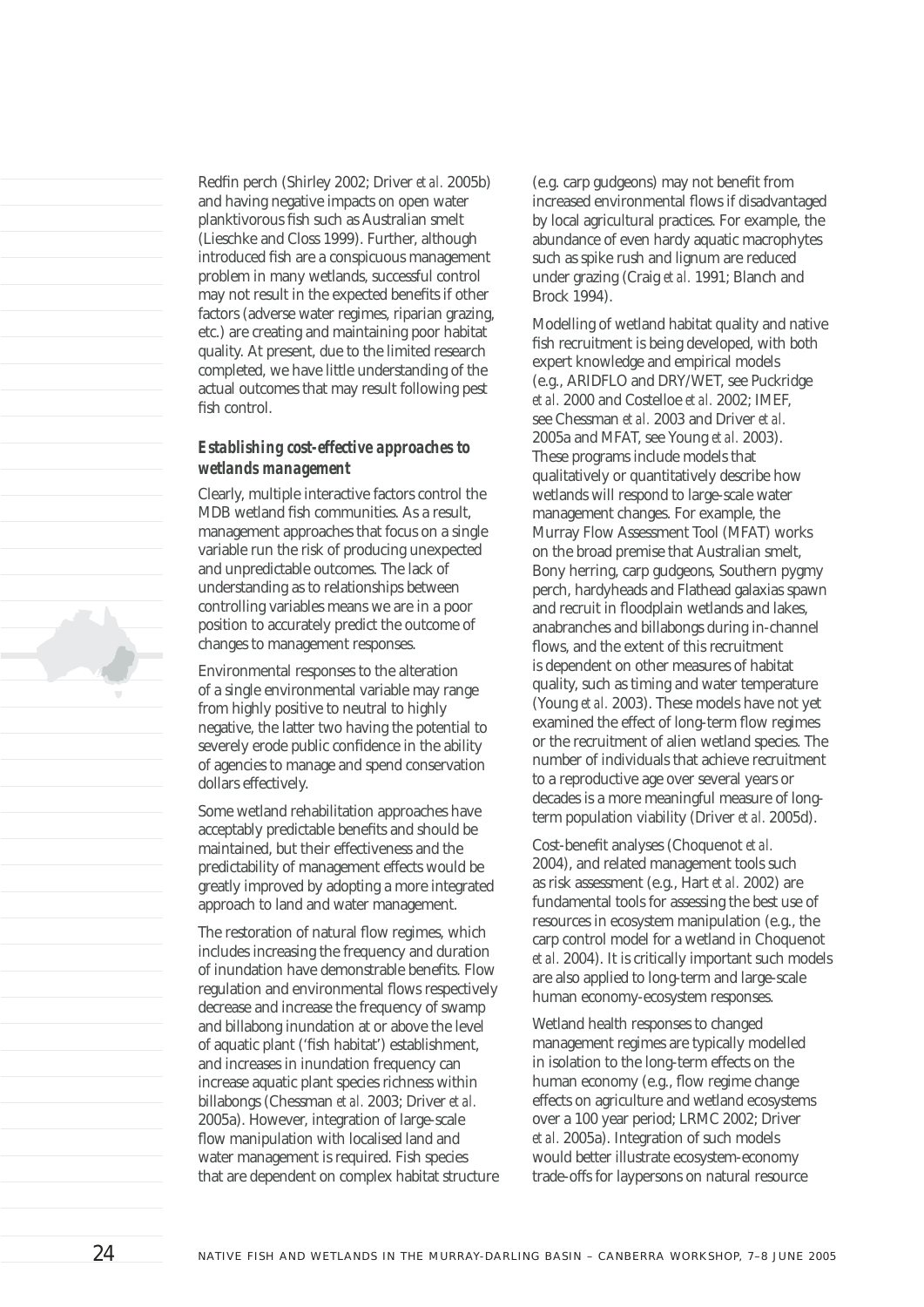Redfin perch (Shirley 2002; Driver *et al.* 2005b) and having negative impacts on open water planktivorous fish such as Australian smelt (Lieschke and Closs 1999). Further, although introduced fish are a conspicuous management problem in many wetlands, successful control may not result in the expected benefits if other factors (adverse water regimes, riparian grazing, etc.) are creating and maintaining poor habitat quality. At present, due to the limited research completed, we have little understanding of the actual outcomes that may result following pest fish control.

#### *Establishing cost-effective approaches to wetlands management*

Clearly, multiple interactive factors control the MDB wetland fish communities. As a result, management approaches that focus on a single variable run the risk of producing unexpected and unpredictable outcomes. The lack of understanding as to relationships between controlling variables means we are in a poor position to accurately predict the outcome of changes to management responses.

Environmental responses to the alteration of a single environmental variable may range from highly positive to neutral to highly negative, the latter two having the potential to severely erode public confidence in the ability of agencies to manage and spend conservation dollars effectively.

Some wetland rehabilitation approaches have acceptably predictable benefits and should be maintained, but their effectiveness and the predictability of management effects would be greatly improved by adopting a more integrated approach to land and water management.

The restoration of natural flow regimes, which includes increasing the frequency and duration of inundation have demonstrable benefits. Flow regulation and environmental flows respectively decrease and increase the frequency of swamp and billabong inundation at or above the level of aquatic plant ('fish habitat') establishment, and increases in inundation frequency can increase aquatic plant species richness within billabongs (Chessman *et al.* 2003; Driver *et al.* 2005a). However, integration of large-scale flow manipulation with localised land and water management is required. Fish species that are dependent on complex habitat structure

(e.g. carp gudgeons) may not benefit from increased environmental flows if disadvantaged by local agricultural practices. For example, the abundance of even hardy aquatic macrophytes such as spike rush and lignum are reduced under grazing (Craig *et al.* 1991; Blanch and Brock 1994).

Modelling of wetland habitat quality and native fish recruitment is being developed, with both expert knowledge and empirical models (e.g., ARIDFLO and DRY/WET, see Puckridge *et al.* 2000 and Costelloe *et al.* 2002; IMEF, see Chessman *et al.* 2003 and Driver *et al.* 2005a and MFAT, see Young *et al.* 2003). These programs include models that qualitatively or quantitatively describe how wetlands will respond to large-scale water management changes. For example, the Murray Flow Assessment Tool (MFAT) works on the broad premise that Australian smelt, Bony herring, carp gudgeons, Southern pygmy perch, hardyheads and Flathead galaxias spawn and recruit in floodplain wetlands and lakes, anabranches and billabongs during in-channel flows, and the extent of this recruitment is dependent on other measures of habitat quality, such as timing and water temperature (Young *et al.* 2003). These models have not yet examined the effect of long-term flow regimes or the recruitment of alien wetland species. The number of individuals that achieve recruitment to a reproductive age over several years or decades is a more meaningful measure of longterm population viability (Driver *et al.* 2005d).

Cost-benefit analyses (Choquenot *et al.* 2004), and related management tools such as risk assessment (e.g., Hart *et al.* 2002) are fundamental tools for assessing the best use of resources in ecosystem manipulation (e.g., the carp control model for a wetland in Choquenot *et al.* 2004). It is critically important such models are also applied to long-term and large-scale human economy-ecosystem responses.

Wetland health responses to changed management regimes are typically modelled in isolation to the long-term effects on the human economy (e.g., flow regime change effects on agriculture and wetland ecosystems over a 100 year period; LRMC 2002; Driver *et al.* 2005a). Integration of such models would better illustrate ecosystem-economy trade-offs for laypersons on natural resource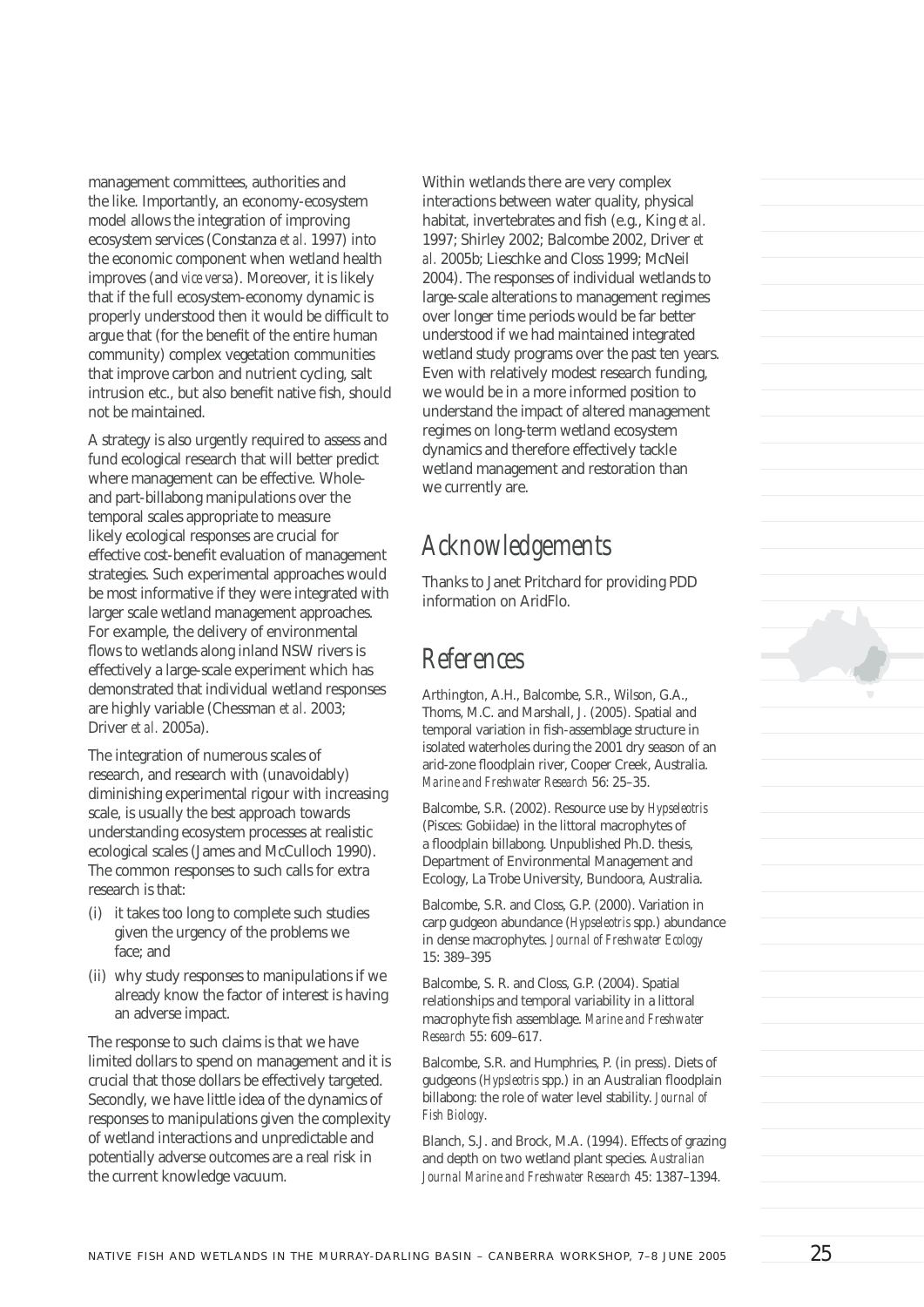management committees, authorities and the like. Importantly, an economy-ecosystem model allows the integration of improving ecosystem services (Constanza *et al.* 1997) into the economic component when wetland health improves (and *vice versa*). Moreover, it is likely that if the full ecosystem-economy dynamic is properly understood then it would be difficult to argue that (for the benefit of the entire human community) complex vegetation communities that improve carbon and nutrient cycling, salt intrusion etc., but also benefit native fish, should not be maintained.

A strategy is also urgently required to assess and fund ecological research that will better predict where management can be effective. Wholeand part-billabong manipulations over the temporal scales appropriate to measure likely ecological responses are crucial for effective cost-benefit evaluation of management strategies. Such experimental approaches would be most informative if they were integrated with larger scale wetland management approaches. For example, the delivery of environmental flows to wetlands along inland NSW rivers is effectively a large-scale experiment which has demonstrated that individual wetland responses are highly variable (Chessman *et al.* 2003; Driver *et al.* 2005a).

The integration of numerous scales of research, and research with (unavoidably) diminishing experimental rigour with increasing scale, is usually the best approach towards understanding ecosystem processes at realistic ecological scales (James and McCulloch 1990). The common responses to such calls for extra research is that:

- (i) it takes too long to complete such studies given the urgency of the problems we face; and
- (ii) why study responses to manipulations if we already know the factor of interest is having an adverse impact.

The response to such claims is that we have limited dollars to spend on management and it is crucial that those dollars be effectively targeted. Secondly, we have little idea of the dynamics of responses to manipulations given the complexity of wetland interactions and unpredictable and potentially adverse outcomes are a real risk in the current knowledge vacuum.

Within wetlands there are very complex interactions between water quality, physical habitat, invertebrates and fish (e.g., King et al. 1997; Shirley 2002; Balcombe 2002, Driver *et al.* 2005b; Lieschke and Closs 1999; McNeil 2004). The responses of individual wetlands to large-scale alterations to management regimes over longer time periods would be far better understood if we had maintained integrated wetland study programs over the past ten years. Even with relatively modest research funding, we would be in a more informed position to understand the impact of altered management regimes on long-term wetland ecosystem dynamics and therefore effectively tackle wetland management and restoration than we currently are.

# *Acknowledgements*

Thanks to Janet Pritchard for providing PDD information on AridFlo.

### *References*

Arthington, A.H., Balcombe, S.R., Wilson, G.A., Thoms, M.C. and Marshall, J. (2005). Spatial and temporal variation in fish-assemblage structure in isolated waterholes during the 2001 dry season of an arid-zone floodplain river, Cooper Creek, Australia. *Marine and Freshwater Research* 56: 25–35.

Balcombe, S.R. (2002). Resource use by *Hypseleotris* (Pisces: Gobiidae) in the littoral macrophytes of a floodplain billabong. Unpublished Ph.D. thesis, Department of Environmental Management and Ecology, La Trobe University, Bundoora, Australia.

Balcombe, S.R. and Closs, G.P. (2000). Variation in carp gudgeon abundance (*Hypseleotris* spp.) abundance in dense macrophytes. *Journal of Freshwater Ecology* 15: 389–395

Balcombe, S. R. and Closs, G.P. (2004). Spatial relationships and temporal variability in a littoral macrophyte fish assemblage. Marine and Freshwater *Research* 55: 609–617.

Balcombe, S.R. and Humphries, P. (in press). Diets of gudgeons (*Hypsleotris* spp.) in an Australian floodplain billabong: the role of water level stability. *Journal of Fish Biology*.

Blanch, S.J. and Brock, M.A. (1994). Effects of grazing and depth on two wetland plant species. *Australian Journal Marine and Freshwater Research* 45: 1387–1394.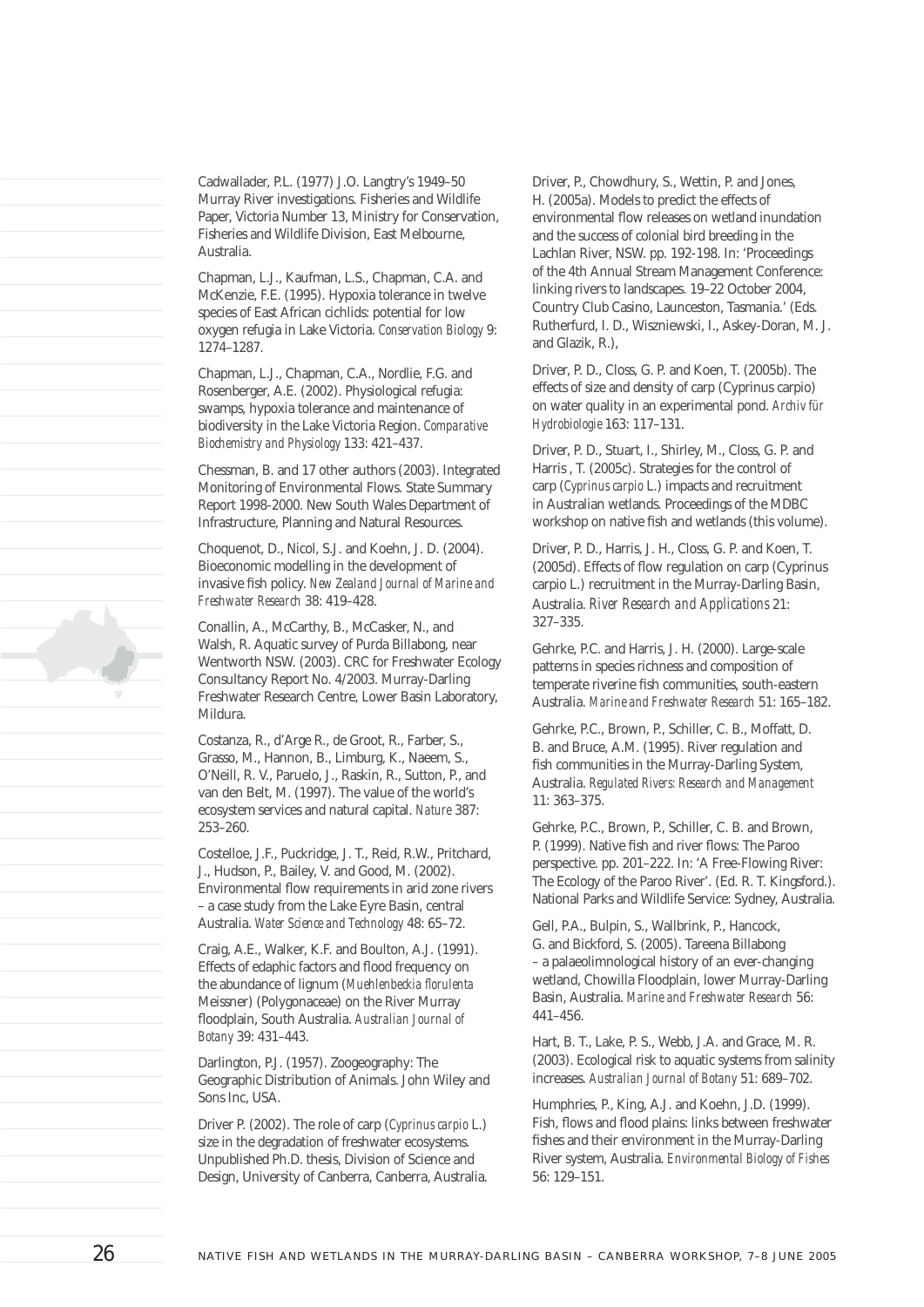Cadwallader, P.L. (1977) J.O. Langtry's 1949–50 Murray River investigations. Fisheries and Wildlife Paper, Victoria Number 13, Ministry for Conservation, Fisheries and Wildlife Division, East Melbourne, Australia.

Chapman, L.J., Kaufman, L.S., Chapman, C.A. and McKenzie, F.E. (1995). Hypoxia tolerance in twelve species of East African cichlids: potential for low oxygen refugia in Lake Victoria. *Conservation Biology* 9: 1274–1287.

Chapman, L.J., Chapman, C.A., Nordlie, F.G. and Rosenberger, A.E. (2002). Physiological refugia: swamps, hypoxia tolerance and maintenance of biodiversity in the Lake Victoria Region. *Comparative Biochemistry and Physiology* 133: 421–437.

Chessman, B. and 17 other authors (2003). Integrated Monitoring of Environmental Flows. State Summary Report 1998-2000. New South Wales Department of Infrastructure, Planning and Natural Resources.

Choquenot, D., Nicol, S.J. and Koehn, J. D. (2004). Bioeconomic modelling in the development of invasive fish policy. New Zealand Journal of Marine and *Freshwater Research* 38: 419–428.

Conallin, A., McCarthy, B., McCasker, N., and Walsh, R. Aquatic survey of Purda Billabong, near Wentworth NSW. (2003). CRC for Freshwater Ecology Consultancy Report No. 4/2003. Murray-Darling Freshwater Research Centre, Lower Basin Laboratory, Mildura.

Costanza, R., d'Arge R., de Groot, R., Farber, S., Grasso, M., Hannon, B., Limburg, K., Naeem, S., O'Neill, R. V., Paruelo, J., Raskin, R., Sutton, P., and van den Belt, M. (1997). The value of the world's ecosystem services and natural capital. *Nature* 387: 253–260.

Costelloe, J.F., Puckridge, J. T., Reid, R.W., Pritchard, J., Hudson, P., Bailey, V. and Good, M. (2002). Environmental flow requirements in arid zone rivers – a case study from the Lake Eyre Basin, central Australia. *Water Science and Technology* 48: 65–72.

Craig, A.E., Walker, K.F. and Boulton, A.J. (1991). Effects of edaphic factors and flood frequency on the abundance of lignum (*Muehlenbeckia florulenta* Meissner) (Polygonaceae) on the River Murray fl oodplain, South Australia. *Australian Journal of Botany* 39: 431–443.

Darlington, P.J. (1957). Zoogeography: The Geographic Distribution of Animals. John Wiley and Sons Inc, USA.

Driver P. (2002). The role of carp (*Cyprinus carpio* L.) size in the degradation of freshwater ecosystems. Unpublished Ph.D. thesis, Division of Science and Design, University of Canberra, Canberra, Australia.

Driver, P., Chowdhury, S., Wettin, P. and Jones, H. (2005a). Models to predict the effects of environmental flow releases on wetland inundation and the success of colonial bird breeding in the Lachlan River, NSW. pp. 192-198. In: 'Proceedings of the 4th Annual Stream Management Conference: linking rivers to landscapes. 19–22 October 2004, Country Club Casino, Launceston, Tasmania.' (Eds. Rutherfurd, I. D., Wiszniewski, I., Askey-Doran, M. J. and Glazik, R.),

Driver, P. D., Closs, G. P. and Koen, T. (2005b). The effects of size and density of carp (Cyprinus carpio) on water quality in an experimental pond. *Archiv für Hydrobiologie* 163: 117–131.

Driver, P. D., Stuart, I., Shirley, M., Closs, G. P. and Harris , T. (2005c). Strategies for the control of carp (*Cyprinus carpio* L.) impacts and recruitment in Australian wetlands. Proceedings of the MDBC workshop on native fish and wetlands (this volume).

Driver, P. D., Harris, J. H., Closs, G. P. and Koen, T.  $(2005d)$ . Effects of flow regulation on carp (Cyprinus carpio L.) recruitment in the Murray-Darling Basin, Australia. *River Research and Applications* 21: 327–335.

Gehrke, P.C. and Harris, J. H. (2000). Large-scale patterns in species richness and composition of temperate riverine fish communities, south-eastern Australia. *Marine and Freshwater Research* 51: 165–182.

Gehrke, P.C., Brown, P., Schiller, C. B., Moffatt, D. B. and Bruce, A.M. (1995). River regulation and fish communities in the Murray-Darling System, Australia. *Regulated Rivers: Research and Management* 11: 363–375.

Gehrke, P.C., Brown, P., Schiller, C. B. and Brown, P. (1999). Native fish and river flows: The Paroo perspective. pp. 201–222. In: 'A Free-Flowing River: The Ecology of the Paroo River'. (Ed. R. T. Kingsford.). National Parks and Wildlife Service: Sydney, Australia.

Gell, P.A., Bulpin, S., Wallbrink, P., Hancock, G. and Bickford, S. (2005). Tareena Billabong – a palaeolimnological history of an ever-changing wetland, Chowilla Floodplain, lower Murray-Darling Basin, Australia. *Marine and Freshwater Research* 56: 441–456.

Hart, B. T., Lake, P. S., Webb, J.A. and Grace, M. R. (2003). Ecological risk to aquatic systems from salinity increases. *Australian Journal of Botany* 51: 689–702.

Humphries, P., King, A.J. and Koehn, J.D. (1999). Fish, flows and flood plains: links between freshwater fishes and their environment in the Murray-Darling River system, Australia. *Environmental Biology of Fishes* 56: 129–151.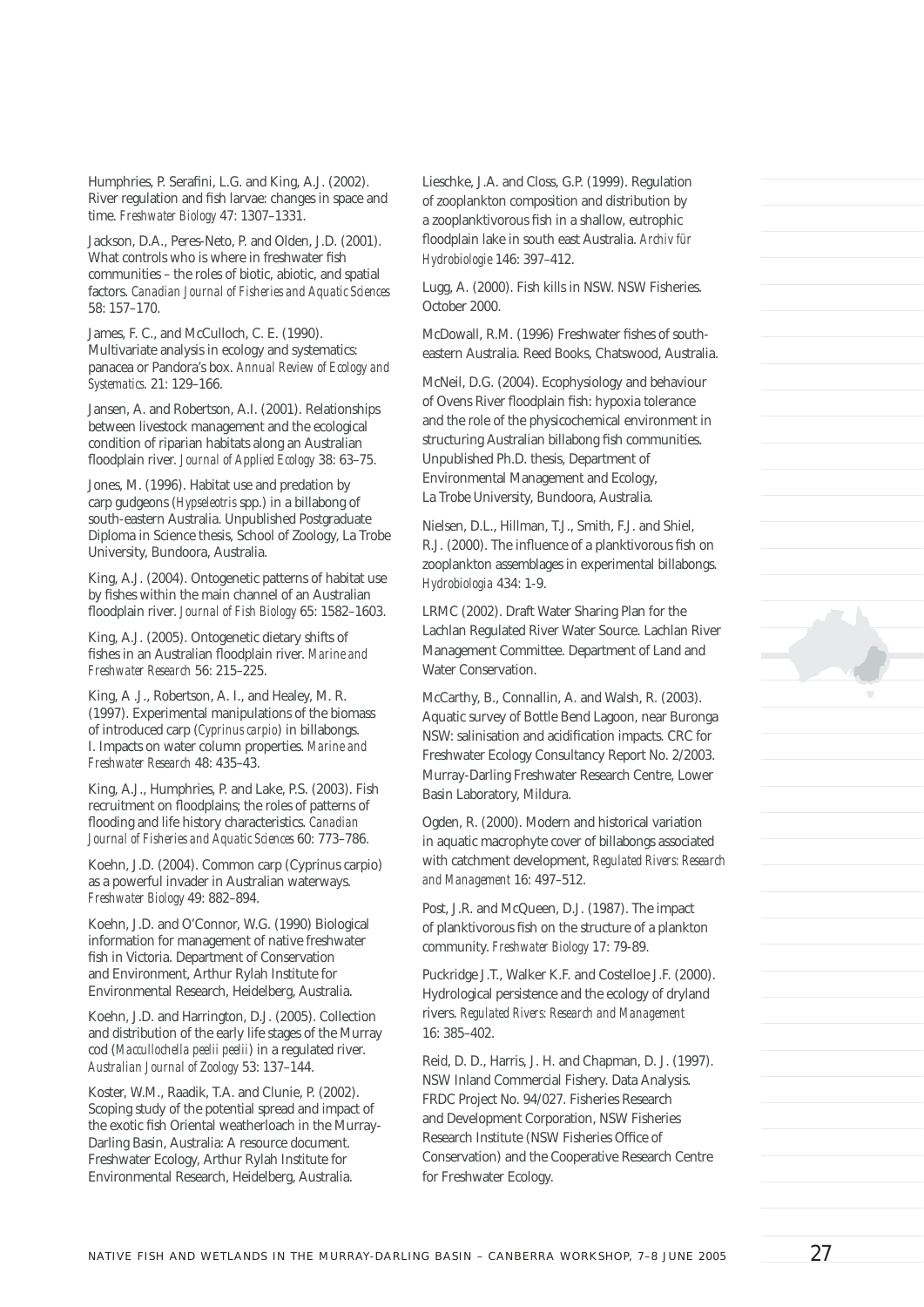Humphries, P. Serafini, L.G. and King, A.J. (2002). River regulation and fish larvae: changes in space and time. *Freshwater Biology* 47: 1307–1331.

Jackson, D.A., Peres-Neto, P. and Olden, J.D. (2001). What controls who is where in freshwater fish communities – the roles of biotic, abiotic, and spatial factors. *Canadian Journal of Fisheries and Aquatic Sciences* 58: 157–170.

James, F. C., and McCulloch, C. E. (1990). Multivariate analysis in ecology and systematics: panacea or Pandora's box. *Annual Review of Ecology and Systematics*. 21: 129–166.

Jansen, A. and Robertson, A.I. (2001). Relationships between livestock management and the ecological condition of riparian habitats along an Australian fl oodplain river. *Journal of Applied Ecology* 38: 63–75.

Jones, M. (1996). Habitat use and predation by carp gudgeons (*Hypseleotris* spp.) in a billabong of south-eastern Australia. Unpublished Postgraduate Diploma in Science thesis, School of Zoology, La Trobe University, Bundoora, Australia.

King, A.J. (2004). Ontogenetic patterns of habitat use by fishes within the main channel of an Australian floodplain river. Journal of Fish Biology 65: 1582-1603.

King, A.J. (2005). Ontogenetic dietary shifts of fishes in an Australian floodplain river. Marine and *Freshwater Research* 56: 215–225.

King, A .J., Robertson, A. I., and Healey, M. R. (1997). Experimental manipulations of the biomass of introduced carp (*Cyprinus carpio*) in billabongs. I. Impacts on water column properties. *Marine and Freshwater Research* 48: 435–43.

King, A.J., Humphries, P. and Lake, P.S. (2003). Fish recruitment on floodplains; the roles of patterns of flooding and life history characteristics. *Canadian Journal of Fisheries and Aquatic Sciences* 60: 773–786.

Koehn, J.D. (2004). Common carp (Cyprinus carpio) as a powerful invader in Australian waterways. *Freshwater Biology* 49: 882–894.

Koehn, J.D. and O'Connor, W.G. (1990) Biological information for management of native freshwater fish in Victoria. Department of Conservation and Environment, Arthur Rylah Institute for Environmental Research, Heidelberg, Australia.

Koehn, J.D. and Harrington, D.J. (2005). Collection and distribution of the early life stages of the Murray cod (*Maccullochella peelii peelii*) in a regulated river. *Australian Journal of Zoology* 53: 137–144.

Koster, W.M., Raadik, T.A. and Clunie, P. (2002). Scoping study of the potential spread and impact of the exotic fish Oriental weatherloach in the Murray-Darling Basin, Australia: A resource document. Freshwater Ecology, Arthur Rylah Institute for Environmental Research, Heidelberg, Australia.

Lieschke, J.A. and Closs, G.P. (1999). Regulation of zooplankton composition and distribution by a zooplanktivorous fish in a shallow, eutrophic fl oodplain lake in south east Australia. *Archiv für Hydrobiologie* 146: 397–412.

Lugg, A. (2000). Fish kills in NSW. NSW Fisheries. October 2000.

McDowall, R.M. (1996) Freshwater fishes of southeastern Australia. Reed Books, Chatswood, Australia.

McNeil, D.G. (2004). Ecophysiology and behaviour of Ovens River floodplain fish: hypoxia tolerance and the role of the physicochemical environment in structuring Australian billabong fish communities. Unpublished Ph.D. thesis, Department of Environmental Management and Ecology, La Trobe University, Bundoora, Australia.

Nielsen, D.L., Hillman, T.J., Smith, F.J. and Shiel, R.J. (2000). The influence of a planktivorous fish on zooplankton assemblages in experimental billabongs. *Hydrobiologia* 434: 1-9.

LRMC (2002). Draft Water Sharing Plan for the Lachlan Regulated River Water Source. Lachlan River Management Committee. Department of Land and Water Conservation.

McCarthy, B., Connallin, A. and Walsh, R. (2003). Aquatic survey of Bottle Bend Lagoon, near Buronga NSW: salinisation and acidification impacts. CRC for Freshwater Ecology Consultancy Report No. 2/2003. Murray-Darling Freshwater Research Centre, Lower Basin Laboratory, Mildura.

Ogden, R. (2000). Modern and historical variation in aquatic macrophyte cover of billabongs associated with catchment development, *Regulated Rivers: Research and Management* 16: 497–512.

Post, J.R. and McQueen, D.J. (1987). The impact of planktivorous fish on the structure of a plankton community. *Freshwater Biology* 17: 79-89.

Puckridge J.T., Walker K.F. and Costelloe J.F. (2000). Hydrological persistence and the ecology of dryland rivers. *Regulated Rivers: Research and Management* 16: 385–402.

Reid, D. D., Harris, J. H. and Chapman, D. J. (1997). NSW Inland Commercial Fishery. Data Analysis. FRDC Project No. 94/027. Fisheries Research and Development Corporation, NSW Fisheries Research Institute (NSW Fisheries Office of Conservation) and the Cooperative Research Centre for Freshwater Ecology.